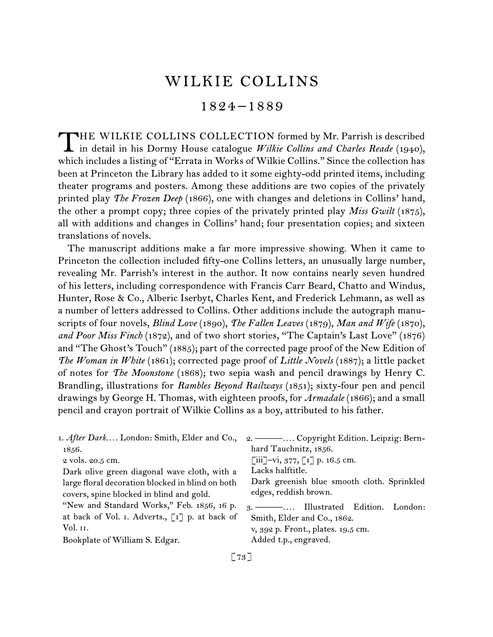# WILKIE COLLINS

# 1824 –1889

THE WILKIE COLLINS COLLECTION formed by Mr. Parrish is described in detail in his Dormy House catalogue *Wilkie Collins and Charles Reade* (1940), which includes a listing of "Errata in Works of Wilkie Collins." Since the collection has been at Princeton the Library has added to it some eighty-odd printed items, including theater programs and posters. Among these additions are two copies of the privately printed play *The Frozen Deep* (1866), one with changes and deletions in Collins' hand, the other a prompt copy; three copies of the privately printed play *Miss Gwilt* (1875), all with additions and changes in Collins' hand; four presentation copies; and sixteen translations of novels.

The manuscript additions make a far more impressive showing. When it came to Princeton the collection included fifty-one Collins letters, an unusually large number, revealing Mr. Parrish's interest in the author. It now contains nearly seven hundred of his letters, including correspondence with Francis Carr Beard, Chatto and Windus, Hunter, Rose & Co., Alberic Iserbyt, Charles Kent, and Frederick Lehmann, as well as a number of letters addressed to Collins. Other additions include the autograph manuscripts of four novels, *Blind Love* (1890), *The Fallen Leaves* (1879), *Man and Wife* (1870), and Poor Miss Finch (1872), and of two short stories, "The Captain's Last Love" (1876) and "The Ghost's Touch" (1885); part of the corrected page proof of the New Edition of *The Woman in White* (1861); corrected page proof of *Little Novels* (1887); a little packet of notes for *The Moonstone* (1868); two sepia wash and pencil drawings by Henry C. Brandling, illustrations for *Rambles Beyond Railways* (1851); sixty-four pen and pencil drawings by George H. Thomas, with eighteen proofs, for *Armadale* (1866); and a small pencil and crayon portrait of Wilkie Collins as a boy, attributed to his father.

|                                                  | 1. After Dark London: Smith, Elder and Co., 2. ---- Copyright Edition. Leipzig: Bern- |
|--------------------------------------------------|---------------------------------------------------------------------------------------|
| 1856.                                            | hard Tauchnitz, 1856.                                                                 |
| 2 vols. 20.5 cm.                                 | [iii]-vi, $377$ , [1] p. 16.5 cm.                                                     |
| Dark olive green diagonal wave cloth, with a     | Lacks halftitle.                                                                      |
| large floral decoration blocked in blind on both | Dark greenish blue smooth cloth. Sprinkled                                            |
| covers, spine blocked in blind and gold.         | edges, reddish brown.                                                                 |
| "New and Standard Works," Feb. 1856, 16 p.       | 3. — —  Illustrated Edition. London:                                                  |
| at back of Vol. I. Adverts., [1] p. at back of   | Smith, Elder and Co., 1862.                                                           |
| Vol. 11.                                         | v, 392 p. Front., plates. 19.5 cm.                                                    |
| Bookplate of William S. Edgar.                   | Added t.p., engraved.                                                                 |
|                                                  |                                                                                       |

[ 73 ]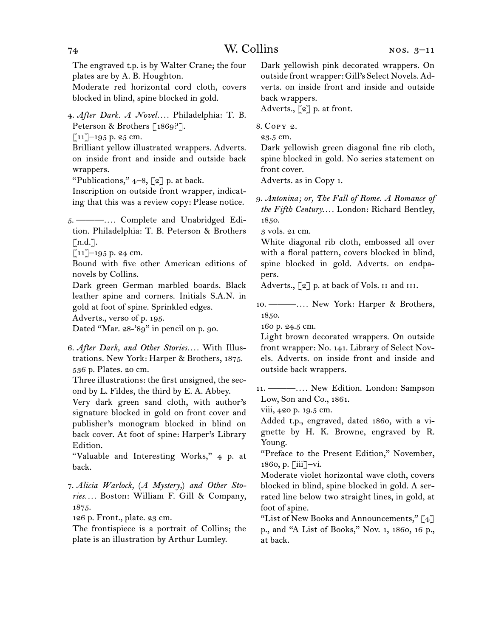The engraved t.p. is by Walter Crane; the four plates are by A. B. Houghton.

Moderate red horizontal cord cloth, covers blocked in blind, spine blocked in gold.

4.  *After Dark. A Novel. . . .* Philadelphia: T. B. Peterson & Brothers [1869?].

 $\lceil 11 \rceil$ –195 p. 25 cm.

Brilliant yellow illustrated wrappers. Adverts. on inside front and inside and outside back wrappers.

"Publications,"  $4-8$ ,  $\lceil 2 \rceil$  p. at back.

Inscription on outside front wrapper, indicating that this was a review copy: Please notice.

5.  ———*. . . .* Complete and Unabridged Edition. Philadelphia: T. B. Peterson & Brothers [n.d.].

 $\lceil 11 \rceil$ –195 p. 24 cm.

Bound with five other American editions of novels by Collins.

Dark green German marbled boards. Black leather spine and corners. Initials S.A.N. in gold at foot of spine. Sprinkled edges.

Adverts., verso of p. 195.

Dated "Mar. 28-'89" in pencil on p. 90.

6.  *After Dark, and Other Stories. . . .* With Illustrations. New York: Harper & Brothers, 1875. 536 p. Plates. 20 cm.

Three illustrations: the first unsigned, the second by L. Fildes, the third by E. A. Abbey.

Very dark green sand cloth, with author's signature blocked in gold on front cover and publisher's monogram blocked in blind on back cover. At foot of spine: Harper's Library Edition.

"Valuable and Interesting Works," 4 p. at back.

126 p. Front., plate. 23 cm.

The frontispiece is a portrait of Collins; the plate is an illustration by Arthur Lumley.

Dark yellowish pink decorated wrappers. On outside front wrapper: Gill's Select Novels. Adverts. on inside front and inside and outside back wrappers.

Adverts., [2] p. at front.

8.  Copy 2.

23.5 cm.

Dark yellowish green diagonal fine rib cloth, spine blocked in gold. No series statement on front cover.

Adverts. as in Copy 1.

9.  *Antonina; or, The Fall of Rome. A Romance of the Fifth Century. . . .* London: Richard Bentley, 1850.

3 vols. 21 cm.

White diagonal rib cloth, embossed all over with a floral pattern, covers blocked in blind, spine blocked in gold. Adverts. on endpapers.

Adverts., [2] p. at back of Vols. II and III.

10.  ———*. . . .* New York: Harper & Brothers, 1850.

160 p. 24.5 cm.

Light brown decorated wrappers. On outside front wrapper: No. 141. Library of Select Novels. Adverts. on inside front and inside and outside back wrappers.

11.  ———*. . . .* New Edition. London: Sampson Low, Son and Co., 1861.

viii, 420 p. 19.5 cm.

Added t.p., engraved, dated 1860, with a vignette by H. K. Browne, engraved by R. Young.

"Preface to the Present Edition," November, 1860, p. [iii]–vi.

Moderate violet horizontal wave cloth, covers blocked in blind, spine blocked in gold. A serrated line below two straight lines, in gold, at foot of spine.

"List of New Books and Announcements,"  $\lceil 4 \rceil$ p., and "A List of Books," Nov. 1, 1860, 16 p., at back.

74 W. Collins

<sup>7.</sup>*Alicia Warlock,* (*A Mystery,*) *and Other Stories. . . .* Boston: William F. Gill & Company, 1875.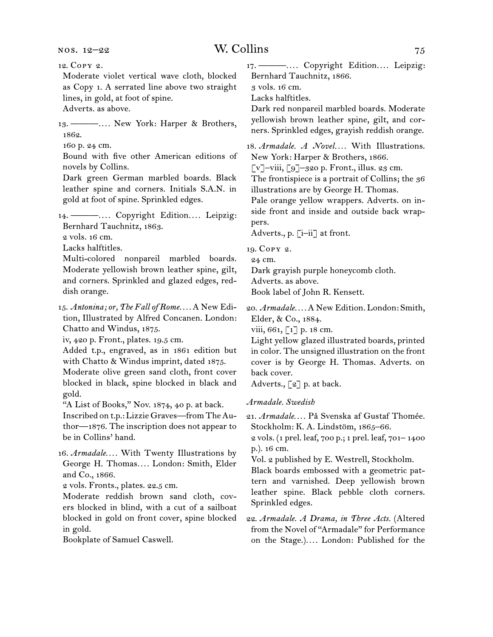12.  Copy 2.

Moderate violet vertical wave cloth, blocked as Copy 1. A serrated line above two straight lines, in gold, at foot of spine.

Adverts. as above.

13.  ———*. . . .* New York: Harper & Brothers, 1862.

160 p. 24 cm.

Bound with five other American editions of novels by Collins.

Dark green German marbled boards. Black leather spine and corners. Initials S.A.N. in gold at foot of spine. Sprinkled edges.

14.  ———*. . . .* Copyright Edition*. . . .* Leipzig: Bernhard Tauchnitz, 1863.

2 vols. 16 cm.

Lacks halftitles.

Multi-colored nonpareil marbled boards. Moderate yellowish brown leather spine, gilt, and corners. Sprinkled and glazed edges, reddish orange.

15.  *Antonina; or, The Fall of Rome. . . .* A New Edition, Illustrated by Alfred Concanen. London: Chatto and Windus, 1875.

iv, 420 p. Front., plates. 19.5 cm.

Added t.p., engraved, as in 1861 edition but with Chatto & Windus imprint, dated 1875.

Moderate olive green sand cloth, front cover blocked in black, spine blocked in black and gold.

"A List of Books," Nov. 1874, 40 p. at back.

Inscribed on t.p.: Lizzie Graves—fromTheAuthor—1876. The inscription does not appear to be in Collins' hand.

16.  *Armadale. . . .* With Twenty Illustrations by George H. Thomas*. . . .* London: Smith, Elder and Co., 1866.

2 vols. Fronts., plates. 22.5 cm.

Moderate reddish brown sand cloth, covers blocked in blind, with a cut of a sailboat blocked in gold on front cover, spine blocked in gold.

Bookplate of Samuel Caswell.

17.  ———*. . . .* Copyright Edition*. . . .* Leipzig: Bernhard Tauchnitz, 1866.

3 vols. 16 cm.

Lacks halftitles.

Dark red nonpareil marbled boards. Moderate yellowish brown leather spine, gilt, and corners. Sprinkled edges, grayish reddish orange.

18.  *Armadale. A Novel. . . .* With Illustrations. New York: Harper & Brothers, 1866.

[v]–viii, [9]–320 p. Front., illus. 23 cm.

The frontispiece is a portrait of Collins; the 36 illustrations are by George H. Thomas.

Pale orange yellow wrappers. Adverts. on inside front and inside and outside back wrappers.

Adverts., p. [i–ii] at front.

19.  Copy 2.

24 cm.

Dark grayish purple honeycomb cloth.

Adverts. as above.

Book label of John R. Kensett.

20.  *Armadale. . . .* A New Edition. London: Smith, Elder, & Co., 1884.

viii, 661, [1] p. 18 cm.

Light yellow glazed illustrated boards, printed in color. The unsigned illustration on the front cover is by George H. Thomas. Adverts. on back cover.

Adverts., [2] p. at back.

*Armadale. Swedish*

21.  *Armadale. . . .* På Svenska af Gustaf Thomée. Stockholm: K. A. Lindstöm, 1865–66.

2 vols. (1 prel. leaf, 700 p.; 1 prel. leaf, 701– 1400 p.). 16 cm.

Vol. 2 published by E. Westrell, Stockholm.

Black boards embossed with a geometric pattern and varnished. Deep yellowish brown leather spine. Black pebble cloth corners. Sprinkled edges.

22.  *Armadale. A Drama, in Three Acts.* (Altered from the Novel of "Armadale" for Performance on the Stage.)*. . . .* London: Published for the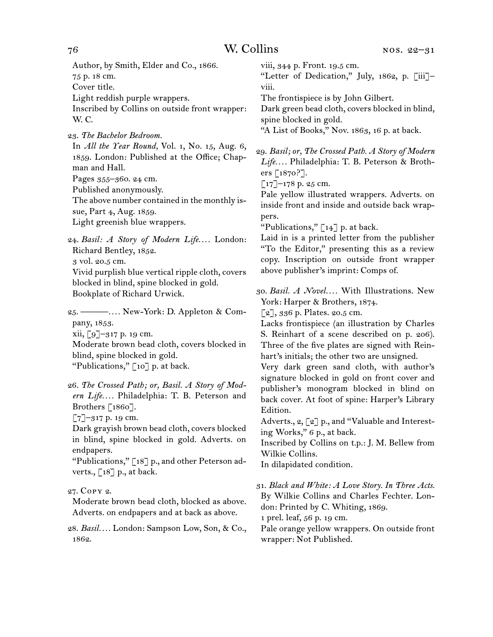Author, by Smith, Elder and Co., 1866. 75 p. 18 cm.

Cover title.

Light reddish purple wrappers.

Inscribed by Collins on outside front wrapper: W. C.

23.  *The Bachelor Bedroom.*

In *All the Year Round,* Vol. 1, No. 15, Aug. 6, 1859. London: Published at the Office; Chapman and Hall. Pages 355–360. 24 cm.

Published anonymously.

The above number contained in the monthly is-

sue, Part 4, Aug. 1859.

Light greenish blue wrappers.

24.  *Basil: A Story of Modern Life. . . .* London: Richard Bentley, 1852.

3 vol. 20.5 cm.

Vivid purplish blue vertical ripple cloth, covers blocked in blind, spine blocked in gold. Bookplate of Richard Urwick.

25.  ———*. . . .* New-York: D. Appleton & Company, 1853. xii, [9]–317 p. 19 cm.

Moderate brown bead cloth, covers blocked in blind, spine blocked in gold. "Publications," [10] p. at back.

26.  *The Crossed Path; or, Basil. A Story of Modern Life. . . .* Philadelphia: T. B. Peterson and Brothers [1860].

 $[7]$ –317 p. 19 cm.

Dark grayish brown bead cloth, covers blocked in blind, spine blocked in gold. Adverts. on endpapers.

"Publications," [18] p., and other Peterson adverts., [18] p., at back.

27.  Copy 2.

Moderate brown bead cloth, blocked as above. Adverts. on endpapers and at back as above.

28.  *Basil. . . .* London: Sampson Low, Son, & Co., 1862.

viii, 344 p. Front. 19.5 cm.

"Letter of Dedication," July, 1862, p. [iii]– viii.

The frontispiece is by John Gilbert.

Dark green bead cloth, covers blocked in blind, spine blocked in gold.

"A List of Books," Nov. 1863, 16 p. at back.

29.  *Basil; or, The Crossed Path. A Story of Modern Life. . . .* Philadelphia: T. B. Peterson & Brothers [1870?].

 $\lceil 17 \rceil$ –178 p. 25 cm.

Pale yellow illustrated wrappers. Adverts. on inside front and inside and outside back wrappers.

"Publications," [14] p. at back.

Laid in is a printed letter from the publisher "To the Editor," presenting this as a review copy. Inscription on outside front wrapper above publisher's imprint: Comps of.

30.  *Basil. A Novel. . . .* With Illustrations. New York: Harper & Brothers, 1874.

 $\lceil 2 \rceil$ , 336 p. Plates. 20.5 cm.

Lacks frontispiece (an illustration by Charles S. Reinhart of a scene described on p. 206). Three of the five plates are signed with Reinhart's initials; the other two are unsigned.

Very dark green sand cloth, with author's signature blocked in gold on front cover and publisher's monogram blocked in blind on back cover. At foot of spine: Harper's Library Edition.

Adverts., 2, [2] p., and "Valuable and Interesting Works," 6 p., at back.

Inscribed by Collins on t.p.: J. M. Bellew from Wilkie Collins.

In dilapidated condition.

31.  *Black and White: A Love Story. In Three Acts.* By Wilkie Collins and Charles Fechter. London: Printed by C. Whiting, 1869.

1 prel. leaf, 56 p. 19 cm.

Pale orange yellow wrappers. On outside front wrapper: Not Published.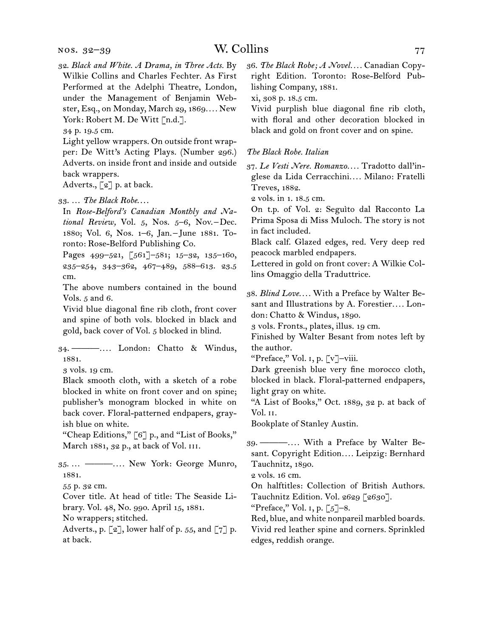nos. 32–39

32.  *Black and White. A Drama, in Three Acts.* By Wilkie Collins and Charles Fechter. As First Performed at the Adelphi Theatre, London, under the Management of Benjamin Webster, Esq., on Monday, March 29, 1869*. . . .* New York: Robert M. De Witt [n.d.].

34 p. 19.5 cm.

Light yellow wrappers. On outside front wrapper: De Witt's Acting Plays. (Number 296.) Adverts. on inside front and inside and outside back wrappers.

Adverts., [2] p. at back.

33.  … *The Black Robe*. . . .

In *Rose-Belford's Canadian Monthly and National Review,* Vol. 5, Nos. 5–6, Nov. – Dec. 1880; Vol. 6, Nos. 1–6, Jan. – June 1881. Toronto: Rose-Belford Publishing Co.

Pages 499-521, [561]-581; 15-32, 135-160, 235–254, 343–362, 467–489, 588–613. 23.5 cm.

The above numbers contained in the bound Vols. 5 and 6.

Vivid blue diagonal fine rib cloth, front cover and spine of both vols. blocked in black and gold, back cover of Vol. 5 blocked in blind.

34.  ———*. . . .* London: Chatto & Windus, 1881.

3 vols. 19 cm.

Black smooth cloth, with a sketch of a robe blocked in white on front cover and on spine; publisher's monogram blocked in white on back cover. Floral-patterned endpapers, grayish blue on white.

"Cheap Editions," [6] p., and "List of Books," March 1881, 32 p., at back of Vol. iii.

35.  … ———*. . . .* New York: George Munro, 1881.

55 p. 32 cm.

Cover title. At head of title: The Seaside Library. Vol. 48, No. 990. April 15, 1881.

No wrappers; stitched.

Adverts., p.  $\lbrack 2 \rbrack$ , lower half of p. 55, and  $\lbrack 7 \rbrack$  p. at back.

36.  *The Black Robe; A Novel. . . .* Canadian Copyright Edition. Toronto: Rose-Belford Publishing Company, 1881.

xi, 308 p. 18.5 cm.

Vivid purplish blue diagonal fine rib cloth, with floral and other decoration blocked in black and gold on front cover and on spine.

### *The Black Robe. Italian*

37.  *Le Vesti Nere. Romanzo. . . .* Tradotto dall'inglese da Lida Cerracchini*. . . .* Milano: Fratelli Treves, 1882.

2 vols. in 1. 18.5 cm.

On t.p. of Vol. 2: Seguìto dal Racconto La Prima Sposa di Miss Muloch. The story is not in fact included.

Black calf. Glazed edges, red. Very deep red peacock marbled endpapers.

Lettered in gold on front cover: A Wilkie Collins Omaggio della Traduttrice.

38.  *Blind Love. . . .* With a Preface by Walter Besant and Illustrations by A. Forestier.... London: Chatto & Windus, 1890.

3 vols. Fronts., plates, illus. 19 cm.

Finished by Walter Besant from notes left by the author.

"Preface," Vol. 1, p. [v]-viii.

Dark greenish blue very fine morocco cloth, blocked in black. Floral-patterned endpapers, light gray on white.

"A List of Books," Oct. 1889, 32 p. at back of Vol. ii.

Bookplate of Stanley Austin.

39.  ———*. . . .* With a Preface by Walter Besant. Copyright Edition*. . . .* Leipzig: Bernhard Tauchnitz, 1890.

2 vols. 16 cm.

On halftitles: Collection of British Authors. Tauchnitz Edition. Vol. 2629 [2630].

"Preface," Vol. 1, p.  $\lceil 5 \rceil$ –8.

Red, blue, and white nonpareil marbled boards. Vivid red leather spine and corners. Sprinkled edges, reddish orange.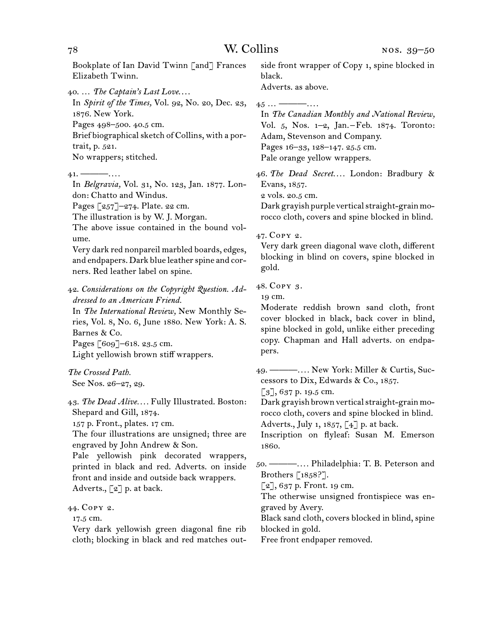Bookplate of Ian David Twinn [and] Frances Elizabeth Twinn.

40.  … *The Captain's Last Love*. . . .

In *Spirit of the Times,* Vol. 92, No. 20, Dec. 23, 1876. New York. Pages 498–500. 40.5 cm.

Brief biographical sketch of Collins, with a portrait, p. 521. No wrappers; stitched.

41.  ———*. . . .*

In *Belgravia,* Vol. 31, No. 123, Jan. 1877. London: Chatto and Windus.

Pages [257]–274. Plate. 22 cm.

The illustration is by W. J. Morgan.

The above issue contained in the bound volume.

Very dark red nonpareil marbled boards, edges, and endpapers. Dark blue leather spine and corners. Red leather label on spine.

42.  *Considerations on the Copyright Question. Addressed to an American Friend.* In *The International Review,* New Monthly Se-

ries, Vol. 8, No. 6, June 1880. New York: A. S. Barnes & Co.

Pages [609]–618. 23.5 cm.

Light yellowish brown stiff wrappers.

*The Crossed Path.* See Nos. 26–27, 29.

43.  *The Dead Alive. . . .* Fully Illustrated. Boston: Shepard and Gill, 1874.

157 p. Front., plates. 17 cm.

The four illustrations are unsigned; three are engraved by John Andrew & Son.

Pale yellowish pink decorated wrappers, printed in black and red. Adverts. on inside front and inside and outside back wrappers. Adverts.,  $\lceil 2 \rceil$  p. at back.

44.  Copy 2.

17.5 cm.

Very dark yellowish green diagonal fine rib cloth; blocking in black and red matches outside front wrapper of Copy 1, spine blocked in black.

Adverts. as above.

45  … ———*. . . .*

In *The Canadian Monthly and National Review,*  Vol. 5, Nos. 1–2, Jan. – Feb. 1874. Toronto: Adam, Stevenson and Company. Pages 16–33, 128–147. 25.5 cm. Pale orange yellow wrappers.

46.  *The Dead Secret. . . .* London: Bradbury & Evans, 1857.

2 vols. 20.5 cm.

Dark grayish purple vertical straight-grain morocco cloth, covers and spine blocked in blind.

47.  Copy 2.

Very dark green diagonal wave cloth, different blocking in blind on covers, spine blocked in gold.

48.  Copy 3.

19 cm.

Moderate reddish brown sand cloth, front cover blocked in black, back cover in blind, spine blocked in gold, unlike either preceding copy. Chapman and Hall adverts. on endpapers.

49.  ———*. . . .* New York: Miller & Curtis, Successors to Dix, Edwards & Co., 1857.

 $\lceil 3 \rceil$ , 637 p. 19.5 cm.

Dark grayish brown vertical straight-grain morocco cloth, covers and spine blocked in blind. Adverts., July 1, 1857, [4] p. at back.

Inscription on flyleaf: Susan M. Emerson 1860.

50.  ———*. . . .* Philadelphia: T. B. Peterson and Brothers [1858?].

 $\lbrack 2 \rbrack, 637$  p. Front. 19 cm.

The otherwise unsigned frontispiece was engraved by Avery.

Black sand cloth, covers blocked in blind, spine blocked in gold.

Free front endpaper removed.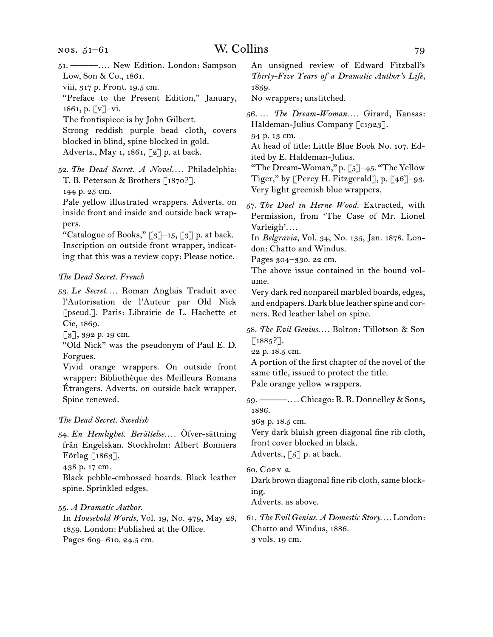- 51.  ———*. . . .* New Edition. London: Sampson Low, Son & Co., 1861.
- viii, 317 p. Front. 19.5 cm.
- "Preface to the Present Edition," January, 1861, p. [v]–vi.
- The frontispiece is by John Gilbert.

Strong reddish purple bead cloth, covers blocked in blind, spine blocked in gold. Adverts., May 1, 1861, [2] p. at back.

52.  *The Dead Secret. A Novel. . . .* Philadelphia: T. B. Peterson & Brothers [1870?].

144 p. 25 cm.

Pale yellow illustrated wrappers. Adverts. on inside front and inside and outside back wrappers.

"Catalogue of Books,"  $\lceil 3 \rceil$ –15,  $\lceil 3 \rceil$  p. at back. Inscription on outside front wrapper, indicating that this was a review copy: Please notice.

# *The Dead Secret. French*

53.  *Le Secret. . . .* Roman Anglais Traduit avec l'Autorisation de l'Auteur par Old Nick [pseud.]. Paris: Librairie de L. Hachette et Cie, 1869.

[3], 392 p. 19 cm.

"Old Nick" was the pseudonym of Paul E. D. Forgues.

Vivid orange wrappers. On outside front wrapper: Bibliothèque des Meilleurs Romans Étrangers. Adverts. on outside back wrapper. Spine renewed.

# *The Dead Secret. Swedish*

54.  *En Hemlighet. Berättelse. . . .* Öfver-sättning från Engelskan. Stockholm: Albert Bonniers Förlag [1863].

438 p. 17 cm.

Black pebble-embossed boards. Black leather spine. Sprinkled edges.

55.  *A Dramatic Author*.

In *Household Words,* Vol. 19, No. 479, May 28, 1859. London: Published at the Office. Pages 609–610. 24.5 cm.

An unsigned review of Edward Fitzball's *Thirty-Five Years of a Dramatic Author's Life,*  1859.

No wrappers; unstitched.

56.  … *The Dream-Woman. . . .* Girard, Kansas: Haldeman-Julius Company [c1923].

94 p. 13 cm.

At head of title: Little Blue Book No. 107. Edited by E. Haldeman-Julius.

"The Dream-Woman," p.  $\lceil 5 \rceil$ –45. "The Yellow Tiger," by [Percy H. Fitzgerald], p. [46]–93. Very light greenish blue wrappers.

57.  *The Duel in Herne Wood.* Extracted, with Permission, from 'The Case of Mr. Lionel Varleigh'*. . . .*

In *Belgravia,* Vol. 34, No. 135, Jan. 1878. London: Chatto and Windus.

Pages 304–330. 22 cm.

The above issue contained in the bound volume.

Very dark red nonpareil marbled boards, edges, and endpapers. Dark blue leather spine and corners. Red leather label on spine.

58.  *The Evil Genius. . . .* Bolton: Tillotson & Son  $[1885?].$ 

22 p. 18.5 cm.

A portion of the first chapter of the novel of the same title, issued to protect the title. Pale orange yellow wrappers.

59.  ———*. . . .* Chicago: R. R. Donnelley & Sons, 1886.

363 p. 18.5 cm.

Very dark bluish green diagonal fine rib cloth, front cover blocked in black. Adverts., [5] p. at back.

60.  Copy 2.

Dark brown diagonal fine rib cloth, same blocking.

Adverts. as above.

61.  *The Evil Genius. A Domestic Story. . . .* London: Chatto and Windus, 1886. 3 vols. 19 cm.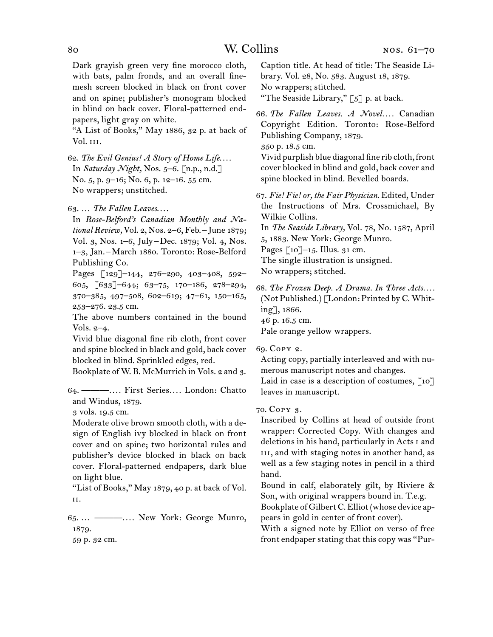Dark grayish green very fine morocco cloth, with bats, palm fronds, and an overall finemesh screen blocked in black on front cover and on spine; publisher's monogram blocked in blind on back cover. Floral-patterned endpapers, light gray on white.

"A List of Books," May 1886, 32 p. at back of Vol. iii.

62.  *The Evil Genius! A Story of Home Life*. . . . In *Saturday Night,* Nos. 5–6. [n.p., n.d.] No. 5, p. 9–16; No. 6, p. 12–16. 55 cm. No wrappers; unstitched.

63.  … *The Fallen Leaves*. . . .

In *Rose-Belford's Canadian Monthly and National Review,* Vol. 2, Nos. 2–6, Feb. – June 1879; Vol. 3, Nos. 1–6, July – Dec. 1879; Vol. 4, Nos. 1–3, Jan. – March 1880. Toronto: Rose-Belford Publishing Co.

Pages [129]–144, 276–290, 403–408, 592– 605, [633]–644; 63–75, 170–186, 278–294, 370–385, 497–508, 602–619; 47–61, 150–165, 253–276. 23.5 cm.

The above numbers contained in the bound Vols. 2–4.

Vivid blue diagonal fine rib cloth, front cover and spine blocked in black and gold, back cover blocked in blind. Sprinkled edges, red.

Bookplate of W. B. McMurrich in Vols. 2 and 3.

64.  ———*. . . .* First Series*. . . .* London: Chatto and Windus, 1879.

3 vols. 19.5 cm.

Moderate olive brown smooth cloth, with a design of English ivy blocked in black on front cover and on spine; two horizontal rules and publisher's device blocked in black on back cover. Floral-patterned endpapers, dark blue on light blue.

"List of Books," May 1879, 40 p. at back of Vol. ii.

65.  … ———*. . . .* New York: George Munro, 1879.

59 p. 32 cm.

Caption title. At head of title: The Seaside Library. Vol. 28, No. 583. August 18, 1879. No wrappers; stitched.

"The Seaside Library,"  $\lceil 5 \rceil$  p. at back.

66.  *The Fallen Leaves. A Novel. . . .* Canadian Copyright Edition. Toronto: Rose-Belford Publishing Company, 1879.

350 p. 18.5 cm.

Vivid purplish blue diagonal fine rib cloth, front cover blocked in blind and gold, back cover and spine blocked in blind. Bevelled boards.

67.  *Fie! Fie! or, the Fair Physician.* Edited, Under the Instructions of Mrs. Crossmichael, By Wilkie Collins.

In *The Seaside Library,* Vol. 78, No. 1587, April 5, 1883. New York: George Munro.

Pages  $\lceil 10 \rceil$ –15. Illus. 31 cm.

The single illustration is unsigned.

No wrappers; stitched.

68.  *The Frozen Deep. A Drama. In Three Acts. . . .* (Not Published.) [London: Printed by C. Whiting], 1866.

46 p. 16.5 cm.

Pale orange yellow wrappers.

69.  Copy 2.

Acting copy, partially interleaved and with numerous manuscript notes and changes.

Laid in case is a description of costumes,  $\lceil 10 \rceil$ leaves in manuscript.

70.  Copy 3.

Inscribed by Collins at head of outside front wrapper: Corrected Copy. With changes and deletions in his hand, particularly in Acts i and III, and with staging notes in another hand, as well as a few staging notes in pencil in a third hand.

Bound in calf, elaborately gilt, by Riviere & Son, with original wrappers bound in. T.e.g. Bookplate of GilbertC.Elliot(whose device ap-

pears in gold in center of front cover).

With a signed note by Elliot on verso of free front endpaper stating that this copy was "Pur-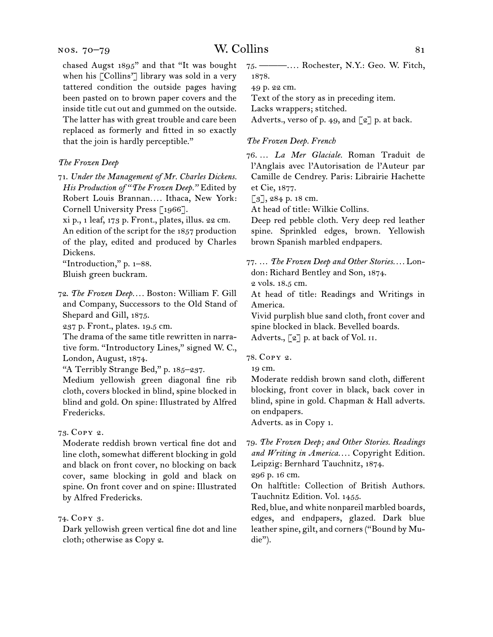### nos. 70–79

chased Augst 1895" and that "It was bought when his [Collins'] library was sold in a very tattered condition the outside pages having been pasted on to brown paper covers and the inside title cut out and gummed on the outside. The latter has with great trouble and care been replaced as formerly and fitted in so exactly that the join is hardly perceptible."

### *The Frozen Deep*

71.  *Under the Management of Mr. Charles Dickens. His Production of "The Frozen Deep."* Edited by Robert Louis Brannan*. . . .* Ithaca, New York: Cornell University Press [1966].

xi p., 1 leaf, 173 p. Front., plates, illus. 22 cm. An edition of the script for the 1857 production of the play, edited and produced by Charles Dickens.

"Introduction," p. 1–88. Bluish green buckram.

72.  *The Frozen Deep. . . .* Boston: William F. Gill and Company, Successors to the Old Stand of Shepard and Gill, 1875.

237 p. Front., plates. 19.5 cm.

The drama of the same title rewritten in narrative form. "Introductory Lines," signed W. C., London, August, 1874.

"A Terribly Strange Bed," p. 185–237.

Medium yellowish green diagonal fine rib cloth, covers blocked in blind, spine blocked in blind and gold. On spine: Illustrated by Alfred Fredericks.

73.  Copy 2.

Moderate reddish brown vertical fine dot and line cloth, somewhat different blocking in gold and black on front cover, no blocking on back cover, same blocking in gold and black on spine. On front cover and on spine: Illustrated by Alfred Fredericks.

# 74.  Copy 3.

Dark yellowish green vertical fine dot and line cloth; otherwise as Copy 2.

75.  ———*. . . .* Rochester, N.Y.: Geo. W. Fitch, 1878.

49 p. 22 cm.

Text of the story as in preceding item.

Lacks wrappers; stitched.

Adverts., verso of p. 49, and  $\lceil 2 \rceil$  p. at back.

## *The Frozen Deep. French*

76.  … *La Mer Glaciale.* Roman Traduit de l'Anglais avec l'Autorisation de l'Auteur par Camille de Cendrey. Paris: Librairie Hachette et Cie, 1877.

[3], 284 p. 18 cm.

At head of title: Wilkie Collins.

Deep red pebble cloth. Very deep red leather spine. Sprinkled edges, brown. Yellowish brown Spanish marbled endpapers.

77.  … *The Frozen Deep and Other Stories. . . .* London: Richard Bentley and Son, 1874.

2 vols. 18.5 cm.

At head of title: Readings and Writings in America.

Vivid purplish blue sand cloth, front cover and spine blocked in black. Bevelled boards.

Adverts.,  $\lceil 2 \rceil$  p. at back of Vol. II.

78.  Copy 2.

19 cm.

Moderate reddish brown sand cloth, different blocking, front cover in black, back cover in blind, spine in gold. Chapman & Hall adverts. on endpapers.

Adverts. as in Copy 1.

79.  *The Frozen Deep; and Other Stories. Readings and Writing in America. . . .* Copyright Edition. Leipzig: Bernhard Tauchnitz, 1874.

296 p. 16 cm.

On halftitle: Collection of British Authors. Tauchnitz Edition. Vol. 1455.

Red, blue, and white nonpareil marbled boards, edges, and endpapers, glazed. Dark blue leather spine, gilt, and corners ("Bound by Mudie").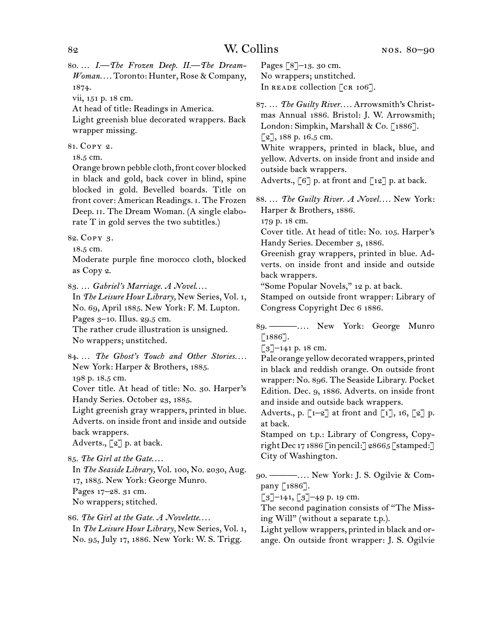80.  … *I.—The Frozen Deep. II.—The Dream-Woman. . . .* Toronto: Hunter, Rose & Company, 1874.

vii, 151 p. 18 cm.

At head of title: Readings in America.

Light greenish blue decorated wrappers. Back wrapper missing.

81.  Copy 2.

18.5 cm.

Orange brown pebble cloth, front cover blocked in black and gold, back cover in blind, spine blocked in gold. Bevelled boards. Title on front cover: American Readings. i. The Frozen Deep. II. The Dream Woman. (A single elaborate T in gold serves the two subtitles.)

82. COPY 3.

18.5 cm.

Moderate purple fine morocco cloth, blocked as Copy 2.

83.  … *Gabriel's Marriage. A Novel*. . . .

In *The Leisure Hour Library,* New Series, Vol. 1, No. 69, April 1885. New York: F. M. Lupton. Pages 3–10. Illus. 29.5 cm.

The rather crude illustration is unsigned. No wrappers; unstitched.

84.  … *The Ghost's Touch and Other Stories. . . .* New York: Harper & Brothers, 1885.

198 p. 18.5 cm.

Cover title. At head of title: No. 30. Harper's Handy Series. October 23, 1885.

Light greenish gray wrappers, printed in blue. Adverts. on inside front and inside and outside back wrappers.

Adverts.,  $\lceil 2 \rceil$  p. at back.

85.  *The Girl at the Gate*. . . .

In *The Seaside Library,* Vol. 100, No. 2030, Aug. 17, 1885. New York: George Munro.

Pages 17–28. 31 cm.

No wrappers; stitched.

86.  *The Girl at the Gate. A Novelette*. . . . In *The Leisure Hour Library,* New Series, Vol. 1, No. 95, July 17, 1886. New York: W. S. Trigg.

Pages [8]–13. 30 cm. No wrappers; unstitched. In READE collection [CR 106].

87.  … *The Guilty River. . . .* Arrowsmith's Christmas Annual 1886. Bristol: J. W. Arrowsmith; London: Simpkin, Marshall & Co. [1886]. [2], 188 p. 16.5 cm.

White wrappers, printed in black, blue, and yellow. Adverts. on inside front and inside and outside back wrappers.

Adverts.,  $[6]$  p. at front and  $[12]$  p. at back.

88.  … *The Guilty River. A Novel. . . .* New York: Harper & Brothers, 1886.

179 p. 18 cm.

Cover title. At head of title: No. 105. Harper's Handy Series. December 3, 1886.

Greenish gray wrappers, printed in blue. Adverts. on inside front and inside and outside back wrappers.

"Some Popular Novels," 12 p. at back.

Stamped on outside front wrapper: Library of Congress Copyright Dec 6 1886.

89.  ———*. . . .* New York: George Munro  $[1886]$ .

[3]-141 p. 18 cm.

Pale orange yellow decorated wrappers, printed in black and reddish orange. On outside front wrapper: No. 896. The Seaside Library. Pocket Edition. Dec. 9, 1886. Adverts. on inside front and inside and outside back wrappers.

Adverts., p.  $\lceil 1-2 \rceil$  at front and  $\lceil 1 \rceil$ , 16,  $\lceil 2 \rceil$  p. at back.

Stamped on t.p.: Library of Congress, Copyright Dec 17 1886 [in pencil:  $\sqrt{28665}$  [stamped: ] City of Washington.

90.  ———*. . . .* New York: J. S. Ogilvie & Company [1886].

 $\lceil 3 \rceil$ –141,  $\lceil 3 \rceil$ –49 p. 19 cm.

The second pagination consists of "The Missing Will" (without a separate t.p.).

Light yellow wrappers, printed in black and orange. On outside front wrapper: J. S. Ogilvie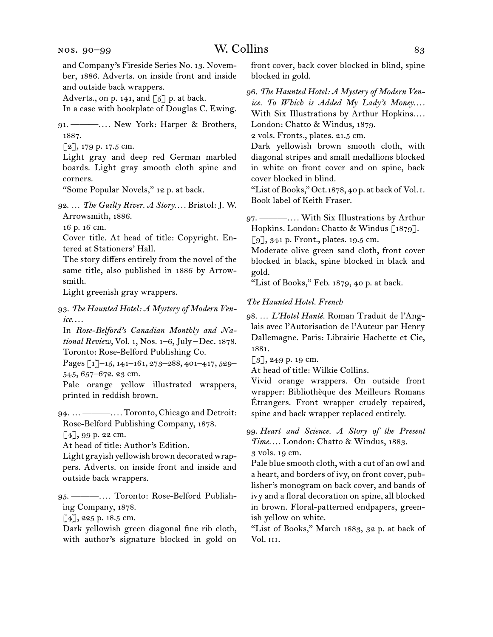and Company's Fireside Series No. 13. November, 1886. Adverts. on inside front and inside and outside back wrappers.

Adverts., on p. 141, and  $\lceil 5 \rceil$  p. at back.

In a case with bookplate of Douglas C. Ewing.

91.  ———*. . . .* New York: Harper & Brothers, 1887.

 $[2]$ , 179 p. 17.5 cm.

Light gray and deep red German marbled boards. Light gray smooth cloth spine and corners.

"Some Popular Novels," 12 p. at back.

92.  … *The Guilty River. A Story. . . .* Bristol: J. W. Arrowsmith, 1886.

16 p. 16 cm.

Cover title. At head of title: Copyright. Entered at Stationers' Hall.

The story differs entirely from the novel of the same title, also published in 1886 by Arrowsmith.

Light greenish gray wrappers.

93.  *The Haunted Hotel: A Mystery of Modern Venice*. . . .

In *Rose-Belford's Canadian Monthly and National Review,* Vol. 1, Nos. 1–6, July – Dec. 1878. Toronto: Rose-Belford Publishing Co.

Pages [1]–15, 141–161, 273–288, 401–417, 529– 545, 657–672. 23 cm.

Pale orange yellow illustrated wrappers, printed in reddish brown.

94.  … ———*. . . .* Toronto, Chicago and Detroit: Rose-Belford Publishing Company, 1878.

 $\lceil 4 \rceil$ , 99 p. 22 cm.

At head of title: Author's Edition.

Light grayish yellowish brown decorated wrappers. Adverts. on inside front and inside and outside back wrappers.

95.  ———*. . . .* Toronto: Rose-Belford Publishing Company, 1878.

 $[4]$ , 225 p. 18.5 cm.

Dark yellowish green diagonal fine rib cloth, with author's signature blocked in gold on

front cover, back cover blocked in blind, spine blocked in gold.

96.  *The Haunted Hotel: A Mystery of Modern Venice. To Which is Added My Lady's Money*. . . . With Six Illustrations by Arthur Hopkins....

London: Chatto & Windus, 1879.

2 vols. Fronts., plates. 21.5 cm.

Dark yellowish brown smooth cloth, with diagonal stripes and small medallions blocked in white on front cover and on spine, back cover blocked in blind.

"List of Books," Oct.1878, 40 p. at back of Vol. i. Book label of Keith Fraser.

97.  ———*. . . .* With Six Illustrations by Arthur Hopkins. London: Chatto & Windus [1879]. [9], 341 p. Front., plates. 19.5 cm.

Moderate olive green sand cloth, front cover blocked in black, spine blocked in black and gold.

"List of Books," Feb. 1879, 40 p. at back.

### *The Haunted Hotel. French*

98.  … *L'Hotel Hanté.* Roman Traduit de l'Anglais avec l'Autorisation de l'Auteur par Henry Dallemagne. Paris: Librairie Hachette et Cie, 1881.

 $[3]$ , 249 p. 19 cm.

At head of title: Wilkie Collins.

Vivid orange wrappers. On outside front wrapper: Bibliothèque des Meilleurs Romans Étrangers. Front wrapper crudely repaired, spine and back wrapper replaced entirely.

99.  *Heart and Science. A Story of the Present Time. . . .* London: Chatto & Windus, 1883. 3 vols. 19 cm.

Pale blue smooth cloth, with a cut of an owl and a heart, and borders of ivy, on front cover, publisher's monogram on back cover, and bands of ivy and a floral decoration on spine, all blocked in brown. Floral-patterned endpapers, greenish yellow on white.

"List of Books," March 1883, 32 p. at back of Vol. iii.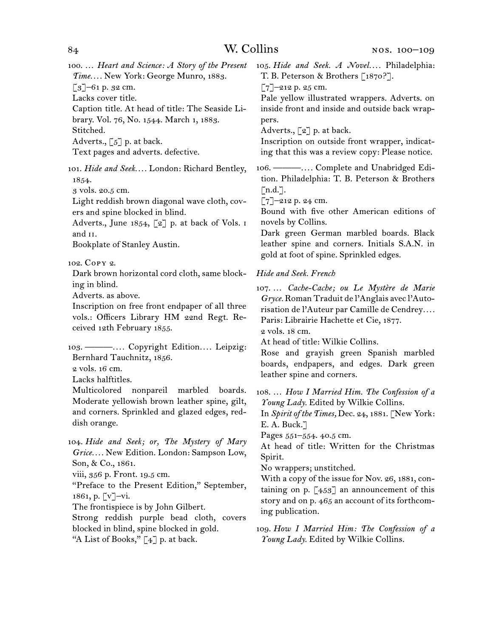100.  … *Heart and Science: A Story of the Present Time. . . .* New York: George Munro, 1883. [3]–61 p. 32 cm. Lacks cover title. Caption title. At head of title: The Seaside Library. Vol. 76, No. 1544. March 1, 1883. Stitched. Adverts.,  $\begin{bmatrix} 5 \end{bmatrix}$  p. at back.

Text pages and adverts. defective.

101.  *Hide and Seek. . . .* London: Richard Bentley, 1854.

3 vols. 20.5 cm.

Light reddish brown diagonal wave cloth, covers and spine blocked in blind.

Adverts., June 1854,  $\lceil 2 \rceil$  p. at back of Vols. I and ii.

Bookplate of Stanley Austin.

# 102.  Copy 2.

Dark brown horizontal cord cloth, same blocking in blind.

Adverts. as above.

Inscription on free front endpaper of all three vols.: Officers Library HM 22nd Regt. Received 12th February 1855.

103.  ———*. . . .* Copyright Edition*. . . .* Leipzig: Bernhard Tauchnitz, 1856.

2 vols. 16 cm.

Lacks halftitles.

Multicolored nonpareil marbled boards. Moderate yellowish brown leather spine, gilt, and corners. Sprinkled and glazed edges, reddish orange.

104.  *Hide and Seek; or, The Mystery of Mary Grice. . . .* New Edition. London: Sampson Low, Son, & Co., 1861.

viii, 356 p. Front. 19.5 cm.

"Preface to the Present Edition," September, 1861, p. [v]–vi.

The frontispiece is by John Gilbert.

Strong reddish purple bead cloth, covers blocked in blind, spine blocked in gold. "A List of Books," [4] p. at back.

105.  *Hide and Seek. A Novel. . . .* Philadelphia: T. B. Peterson & Brothers [1870?].

 $[7]$ –212 p. 25 cm.

Pale yellow illustrated wrappers. Adverts. on inside front and inside and outside back wrappers.

Adverts.,  $\lceil 2 \rceil$  p. at back.

Inscription on outside front wrapper, indicating that this was a review copy: Please notice.

106.  ———*. . . .* Complete and Unabridged Edition. Philadelphia: T. B. Peterson & Brothers  $\lceil n.d.\rceil$ .

 $[7]$ –212 p. 24 cm.

Bound with five other American editions of novels by Collins.

Dark green German marbled boards. Black leather spine and corners. Initials S.A.N. in gold at foot of spine. Sprinkled edges.

# *Hide and Seek. French*

107.  … *Cache-Cache; ou Le Mystère de Marie Gryce.* Roman Traduit de l'Anglais avec l'Autorisation de l'Auteur par Camille de Cendrey*. . . .* Paris: Librairie Hachette et Cie, 1877.

2 vols. 18 cm.

At head of title: Wilkie Collins.

Rose and grayish green Spanish marbled boards, endpapers, and edges. Dark green leather spine and corners.

108.  … *How I Married Him. The Confession of a Young Lady.* Edited by Wilkie Collins.

In *Spirit of the Times,* Dec. 24, 1881. [New York: E. A. Buck.]

Pages 551–554. 40.5 cm.

At head of title: Written for the Christmas Spirit.

No wrappers; unstitched.

With a copy of the issue for Nov. 26, 1881, containing on p.  $[453]$  an announcement of this story and on p. 465 an account of its forthcoming publication.

109.  *How I Married Him: The Confession of a Young Lady.* Edited by Wilkie Collins.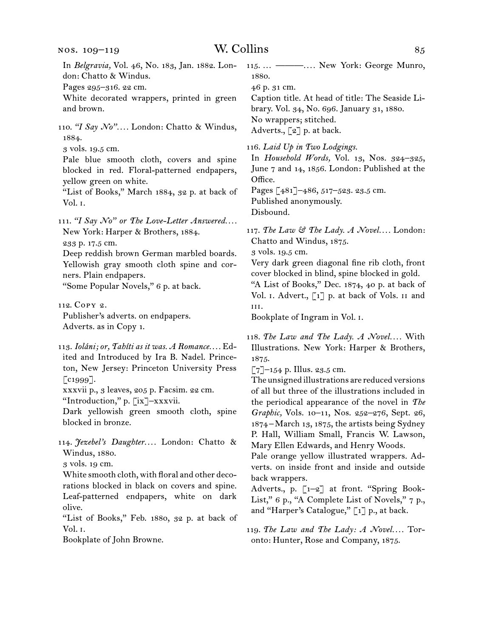# nos. 109–119

# W. Collins 85

| In Belgravia, Vol. 46, No. 183, Jan. 1882. Lon-<br>don: Chatto & Windus.<br>Pages 295-316. 22 cm.<br>White decorated wrappers, printed in green<br>and brown.<br>110. "I Say No" London: Chatto & Windus,                                                                                                              | 115.  --------- New York: George Munro,<br>1880.<br>46 p. 31 cm.<br>Caption title. At head of title: The Seaside Li-<br>brary. Vol. 34, No. 696. January 31, 1880.<br>No wrappers; stitched.                                                                                                                                                                                                              |
|------------------------------------------------------------------------------------------------------------------------------------------------------------------------------------------------------------------------------------------------------------------------------------------------------------------------|-----------------------------------------------------------------------------------------------------------------------------------------------------------------------------------------------------------------------------------------------------------------------------------------------------------------------------------------------------------------------------------------------------------|
| 1884.<br>3 vols. 19.5 cm.<br>Pale blue smooth cloth, covers and spine<br>blocked in red. Floral-patterned endpapers,<br>yellow green on white.<br>"List of Books," March 1884, 32 p. at back of<br>Vol. I.<br>111. "I Say No" or The Love-Letter Answered                                                              | Adverts., [2] p. at back.<br>116. Laid Up in Two Lodgings.<br>In Household Words, Vol. 13, Nos. 324-325,<br>June 7 and 14, 1856. London: Published at the<br>Office.<br>Pages [481]-486, 517-523. 23.5 cm.<br>Published anonymously.<br>Disbound.                                                                                                                                                         |
| New York: Harper & Brothers, 1884.<br>233 p. 17.5 cm.<br>Deep reddish brown German marbled boards.<br>Yellowish gray smooth cloth spine and cor-<br>ners. Plain endpapers.<br>"Some Popular Novels," 6 p. at back.                                                                                                     | 117. The Law & The Lady. A Novel London:<br>Chatto and Windus, 1875.<br>3 vols. 19.5 cm.<br>Very dark green diagonal fine rib cloth, front<br>cover blocked in blind, spine blocked in gold.<br>"A List of Books," Dec. 1874, 40 p. at back of<br>Vol. I. Advert., [1] p. at back of Vols. II and                                                                                                         |
| 112. COPY 2.<br>Publisher's adverts. on endpapers.<br>Adverts. as in Copy 1.                                                                                                                                                                                                                                           | III.<br>Bookplate of Ingram in Vol. I.                                                                                                                                                                                                                                                                                                                                                                    |
| 113. Ioláni; or, Tahíti as it was. A Romance Ed-<br>ited and Introduced by Ira B. Nadel. Prince-<br>ton, New Jersey: Princeton University Press<br>$\lceil$ c1999].<br>xxxvii p., 3 leaves, 205 p. Facsim. 22 cm.<br>"Introduction," p. [ix]-xxxvii.<br>Dark yellowish green smooth cloth, spine<br>blocked in bronze. | 118. The Law and The Lady. A Novel With<br>Illustrations. New York: Harper & Brothers,<br>1875.<br>$\lceil 7 \rceil$ -154 p. Illus. 23.5 cm.<br>The unsigned illustrations are reduced versions<br>of all but three of the illustrations included in<br>the periodical appearance of the novel in The<br>Graphic, Vols. 10-11, Nos. 252-276, Sept. 26,<br>1874 – March 13, 1875, the artists being Sydney |
| 114. Jezebel's Daughter London: Chatto &<br>Windus, 1880.<br>3 vols. 19 cm.<br>White smooth cloth, with floral and other deco-<br>rations blocked in black on covers and spine.<br>Leaf-patterned endpapers, white on dark<br>olive.<br>"List of Books," Feb. 1880, 32 p. at back of                                   | P. Hall, William Small, Francis W. Lawson,<br>Mary Ellen Edwards, and Henry Woods.<br>Pale orange yellow illustrated wrappers. Ad-<br>verts. on inside front and inside and outside<br>back wrappers.<br>Adverts., p. [1-2] at front. "Spring Book-<br>List," 6 p., "A Complete List of Novels," 7 p.,<br>and "Harper's Catalogue," [1] p., at back.                                                      |
| Vol. 1.                                                                                                                                                                                                                                                                                                                | 119. The Law and The Lady: $A$ Novel Tor-                                                                                                                                                                                                                                                                                                                                                                 |

Bookplate of John Browne.

119.  *The Law and The Lady: A Novel. . . .* Toronto: Hunter, Rose and Company, 1875.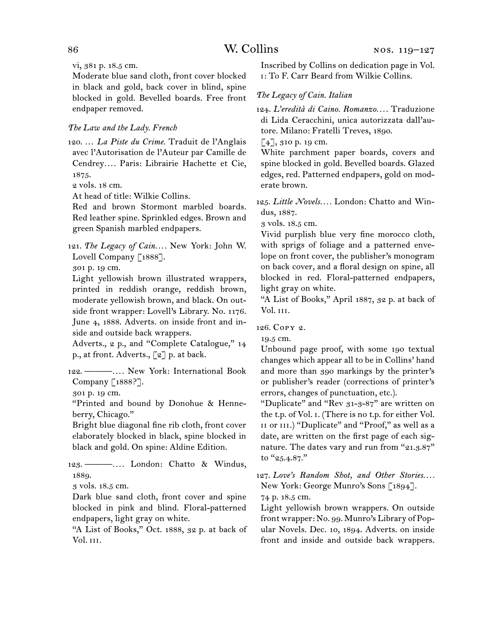vi, 381 p. 18.5 cm.

Moderate blue sand cloth, front cover blocked in black and gold, back cover in blind, spine blocked in gold. Bevelled boards. Free front endpaper removed.

# *The Law and the Lady. French*

120.  … *La Piste du Crime.* Traduit de l'Anglais avec l'Autorisation de l'Auteur par Camille de Cendrey*. . . .* Paris: Librairie Hachette et Cie, 1875.

2 vols. 18 cm.

At head of title: Wilkie Collins.

Red and brown Stormont marbled boards. Red leather spine. Sprinkled edges. Brown and green Spanish marbled endpapers.

121.  *The Legacy of Cain. . . .* New York: John W. Lovell Company [1888].

301 p. 19 cm.

Light yellowish brown illustrated wrappers, printed in reddish orange, reddish brown, moderate yellowish brown, and black. On outside front wrapper: Lovell's Library. No. 1176. June 4, 1888. Adverts. on inside front and inside and outside back wrappers.

Adverts., 2 p., and "Complete Catalogue," 14 p., at front. Adverts., [2] p. at back.

122.  ———*. . . .* New York: International Book Company [1888?].

301 p. 19 cm.

"Printed and bound by Donohue & Henneberry, Chicago."

Bright blue diagonal fine rib cloth, front cover elaborately blocked in black, spine blocked in black and gold. On spine: Aldine Edition.

123.  ———*. . . .* London: Chatto & Windus, 1889.

3 vols. 18.5 cm.

Dark blue sand cloth, front cover and spine blocked in pink and blind. Floral-patterned endpapers, light gray on white.

"A List of Books," Oct. 1888, 32 p. at back of Vol. iii.

Inscribed by Collins on dedication page in Vol. i: To F. Carr Beard from Wilkie Collins.

# *The Legacy of Cain. Italian*

124.  *L'eredità di Caino. Romanzo. . . .* Traduzione di Lida Ceracchini, unica autorizzata dall'autore. Milano: Fratelli Treves, 1890.

[4], 310 p. 19 cm.

White parchment paper boards, covers and spine blocked in gold. Bevelled boards. Glazed edges, red. Patterned endpapers, gold on moderate brown.

125.  *Little Novels. . . .* London: Chatto and Windus, 1887.

3 vols. 18.5 cm.

Vivid purplish blue very fine morocco cloth, with sprigs of foliage and a patterned envelope on front cover, the publisher's monogram on back cover, and a floral design on spine, all blocked in red. Floral-patterned endpapers, light gray on white.

"A List of Books," April 1887, 32 p. at back of Vol. iii.

126.  Copy 2.

19.5 cm.

Unbound page proof, with some 190 textual changes which appear all to be in Collins' hand and more than 390 markings by the printer's or publisher's reader (corrections of printer's errors, changes of punctuation, etc.).

"Duplicate" and "Rev 31-3-87" are written on the t.p. of Vol. i. (There is no t.p. for either Vol. II or III.) "Duplicate" and "Proof," as well as a date, are written on the first page of each signature. The dates vary and run from "21.3.87" to "25.4.87."

127. Love's Random Shot, and Other Stories.... New York: George Munro's Sons [1894].

74 p. 18.5 cm.

Light yellowish brown wrappers. On outside front wrapper: No. 99. Munro's Library of Popular Novels. Dec. 10, 1894. Adverts. on inside front and inside and outside back wrappers.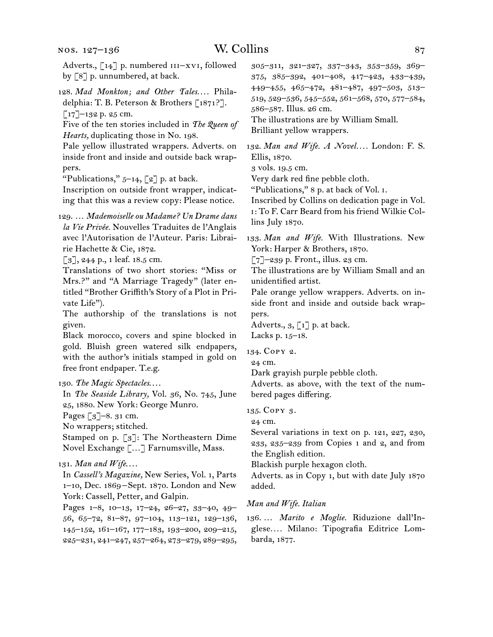Adverts., [14] p. numbered III–xvI, followed by [8] p. unnumbered, at back.

128.  *Mad Monkton; and Other Tales. . . .* Philadelphia: T. B. Peterson & Brothers [1871?].  $\lceil 17 \rceil$ –132 p. 25 cm.

Five of the ten stories included in *The Queen of Hearts,* duplicating those in No. 198.

Pale yellow illustrated wrappers. Adverts. on inside front and inside and outside back wrappers.

"Publications,"  $5-14$ ,  $\lceil 2 \rceil$  p. at back.

Inscription on outside front wrapper, indicating that this was a review copy: Please notice.

129.  … *Mademoiselle ou Madame? Un Drame dans la Vie Privée.* Nouvelles Traduites de l'Anglais avec l'Autorisation de l'Auteur. Paris: Librairie Hachette & Cie, 1872.

[3], 244 p., 1 leaf. 18.5 cm.

Translations of two short stories: "Miss or Mrs.?" and "A Marriage Tragedy" (later entitled "Brother Griffith's Story of a Plot in Private Life").

The authorship of the translations is not given.

Black morocco, covers and spine blocked in gold. Bluish green watered silk endpapers, with the author's initials stamped in gold on free front endpaper. T.e.g.

In *The Seaside Library,* Vol. 36, No. 745, June 25, 1880. New York: George Munro.

Pages [3]–8. 31 cm.

No wrappers; stitched.

Stamped on p. [3]: The Northeastern Dime Novel Exchange […] Farnumsville, Mass.

131.  *Man and Wife*. . . .

In *Cassell's Magazine,* New Series, Vol. 1, Parts 1–10, Dec. 1869 – Sept. 1870. London and New York: Cassell, Petter, and Galpin.

Pages 1–8, 10–13, 17–24, 26–27, 33–40, 49– 56, 65–72, 81–87, 97–104, 113–121, 129–136, 145–152, 161–167, 177–183, 193–200, 209–215, 225–231, 241–247, 257–264, 273–279, 289–295, 305–311, 321–327, 337–343, 353–359, 369– 375, 385–392, 401–408, 417–423, 433–439, 449–455, 465–472, 481–487, 497–503, 513– 519, 529–536, 545–552, 561–568, 570, 577–584, 586–587. Illus. 26 cm.

The illustrations are by William Small.

Brilliant yellow wrappers.

132.  *Man and Wife. A Novel. . . .* London: F. S. Ellis, 1870.

3 vols. 19.5 cm.

Very dark red fine pebble cloth.

"Publications," 8 p. at back of Vol. i.

Inscribed by Collins on dedication page in Vol. i: To F. Carr Beard from his friend Wilkie Collins July 1870.

133.  *Man and Wife.* With Illustrations. New York: Harper & Brothers, 1870.

[7]–239 p. Front., illus. 23 cm.

The illustrations are by William Small and an unidentified artist.

Pale orange yellow wrappers. Adverts. on inside front and inside and outside back wrappers.

Adverts.,  $\mathfrak{g}, \llbracket \mathfrak{1} \rrbracket$  p. at back. Lacks p. 15–18.

134.  Copy 2.

24 cm.

Dark grayish purple pebble cloth.

Adverts. as above, with the text of the numbered pages differing.

135.  Copy 3.

24 cm.

Several variations in text on p. 121, 227, 230, 233, 235–239 from Copies 1 and 2, and from the English edition.

Blackish purple hexagon cloth.

Adverts. as in Copy 1, but with date July 1870 added.

## *Man and Wife. Italian*

136.  … *Marito e Moglie.* Riduzione dall'Inglese*. . . .* Milano: Tipografia Editrice Lombarda, 1877.

<sup>130.</sup>*The Magic Spectacles*. . . .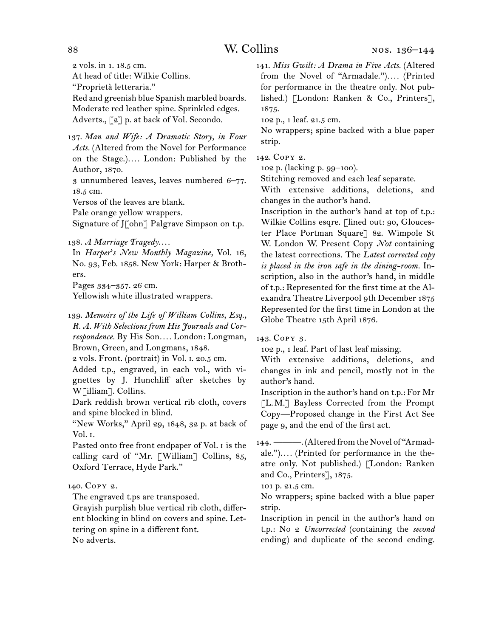2 vols. in 1. 18.5 cm.

At head of title: Wilkie Collins.

"Proprietà letteraria."

Red and greenish blue Spanish marbled boards. Moderate red leather spine. Sprinkled edges. Adverts., [2] p. at back of Vol. Secondo.

137.  *Man and Wife: A Dramatic Story, in Four Acts.* (Altered from the Novel for Performance on the Stage.)*. . . .* London: Published by the Author, 1870.

3 unnumbered leaves, leaves numbered 6–77. 18.5 cm.

Versos of the leaves are blank.

Pale orange yellow wrappers.

Signature of J[ohn] Palgrave Simpson on t.p.

138.  *A Marriage Tragedy*. . . .

In *Harper*'*s New Monthly Magazine,* Vol. 16, No. 93, Feb. 1858. New York: Harper & Brothers.

Pages 334–357. 26 cm.

Yellowish white illustrated wrappers.

139.  *Memoirs of the Life of William Collins, Esq., R. A. With Selections from His Journals and Correspondence.* By His Son*. . . .* London: Longman, Brown, Green, and Longmans, 1848.

2 vols. Front. (portrait) in Vol. i. 20.5 cm.

Added t.p., engraved, in each vol., with vignettes by J. Hunchliff after sketches by W[illiam]. Collins.

Dark reddish brown vertical rib cloth, covers and spine blocked in blind.

"New Works," April 29, 1848, 32 p. at back of Vol. i.

Pasted onto free front endpaper of Vol. i is the calling card of "Mr. [William] Collins, 85, Oxford Terrace, Hyde Park."

# 140.  Copy 2.

The engraved t.ps are transposed.

Grayish purplish blue vertical rib cloth, different blocking in blind on covers and spine. Lettering on spine in a different font.

No adverts.

141.  *Miss Gwilt: A Drama in Five Acts.* (Altered from the Novel of "Armadale.")*. . . .* (Printed for performance in the theatre only. Not published.) [London: Ranken & Co., Printers], 1875.

102 p., 1 leaf. 21.5 cm.

No wrappers; spine backed with a blue paper strip.

142.  Copy 2.

102 p. (lacking p. 99–100).

Stitching removed and each leaf separate.

With extensive additions, deletions, and changes in the author's hand.

Inscription in the author's hand at top of t.p.: Wilkie Collins esqre. [lined out: 90, Gloucester Place Portman Square] 82. Wimpole St W. London W. Present Copy *Not* containing the latest corrections. The *Latest corrected copy is placed in the iron safe in the dining-room.* Inscription, also in the author's hand, in middle of t.p.: Represented for the first time at the Alexandra Theatre Liverpool 9th December 1875 Represented for the first time in London at the Globe Theatre 15th April 1876.

143.  Copy 3.

102 p., 1 leaf. Part of last leaf missing.

With extensive additions, deletions, and changes in ink and pencil, mostly not in the author's hand.

Inscription in the author's hand on t.p.: For Mr [L. M.] Bayless Corrected from the Prompt Copy—Proposed change in the First Act See page 9, and the end of the first act.

144. ———. (Altered from the Novel of "Armadale.")*. . . .* (Printed for performance in the theatre only. Not published.) [London: Ranken and Co., Printers], 1875.

101 p. 21.5 cm.

No wrappers; spine backed with a blue paper strip.

Inscription in pencil in the author's hand on t.p.: No 2 *Uncorrected* (containing the *second*  ending) and duplicate of the second ending.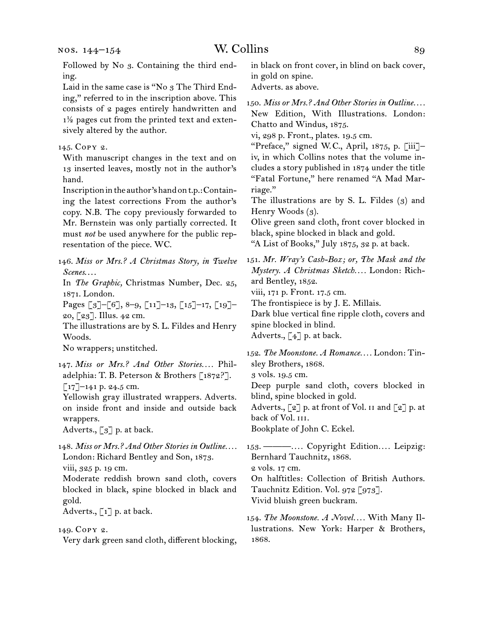Followed by No 3. Containing the third ending.

Laid in the same case is "No 3 The Third Ending," referred to in the inscription above. This consists of 2 pages entirely handwritten and 1½ pages cut from the printed text and extensively altered by the author.

# 145.  Copy 2.

With manuscript changes in the text and on 13 inserted leaves, mostly not in the author's hand.

Inscriptionintheauthor'shandont.p.:Containing the latest corrections From the author's copy. N.B. The copy previously forwarded to Mr. Bernstein was only partially corrected. It must *not* be used anywhere for the public representation of the piece. WC.

146.  *Miss or Mrs.? A Christmas Story, in Twelve Scenes*. . . .

In *The Graphic,* Christmas Number, Dec. 25, 1871. London.

Pages [3]–[6], 8–9, [11]–13, [15]–17, [19]– 20, [23]. Illus. 42 cm.

The illustrations are by S. L. Fildes and Henry Woods.

No wrappers; unstitched.

147.  *Miss or Mrs.? And Other Stories. . . .* Philadelphia: T. B. Peterson & Brothers [1872?].  $\lceil 17 \rceil$ –141 p. 24.5 cm.

Yellowish gray illustrated wrappers. Adverts. on inside front and inside and outside back wrappers.

Adverts., [3] p. at back.

148.  *Miss or Mrs.? And Other Stories in Outline. . . .* London: Richard Bentley and Son, 1873. viii, 325 p. 19 cm.

Moderate reddish brown sand cloth, covers blocked in black, spine blocked in black and gold.

Adverts.,  $\lceil 1 \rceil$  p. at back.

149.  Copy 2.

Very dark green sand cloth, different blocking,

in black on front cover, in blind on back cover, in gold on spine.

Adverts. as above.

150.  *Miss or Mrs.? And Other Stories in Outline. . . .* New Edition, With Illustrations. London: Chatto and Windus, 1875.

vi, 298 p. Front., plates. 19.5 cm.

"Preface," signed W. C., April, 1875, p. [iii]– iv, in which Collins notes that the volume includes a story published in 1874 under the title "Fatal Fortune," here renamed "A Mad Marriage."

The illustrations are by S. L. Fildes (3) and Henry Woods (3).

Olive green sand cloth, front cover blocked in black, spine blocked in black and gold.

"A List of Books," July 1875, 32 p. at back.

151.  *Mr. Wray's Cash-Box; or, The Mask and the Mystery. A Christmas Sketch. . . .* London: Richard Bentley, 1852.

viii, 171 p. Front. 17.5 cm.

The frontispiece is by J. E. Millais.

Dark blue vertical fine ripple cloth, covers and spine blocked in blind.

Adverts., [4] p. at back.

152.  *The Moonstone. A Romance. . . .* London: Tinsley Brothers, 1868.

3 vols. 19.5 cm.

Deep purple sand cloth, covers blocked in blind, spine blocked in gold.

Adverts., [2] p. at front of Vol. II and [2] p. at back of Vol. III.

Bookplate of John C. Eckel.

153.  ———*. . . .* Copyright Edition*. . . .* Leipzig: Bernhard Tauchnitz, 1868.

2 vols. 17 cm.

On halftitles: Collection of British Authors. Tauchnitz Edition. Vol. 972 [973]. Vivid bluish green buckram.

154.  *The Moonstone. A Novel. . . .* With Many Illustrations. New York: Harper & Brothers, 1868.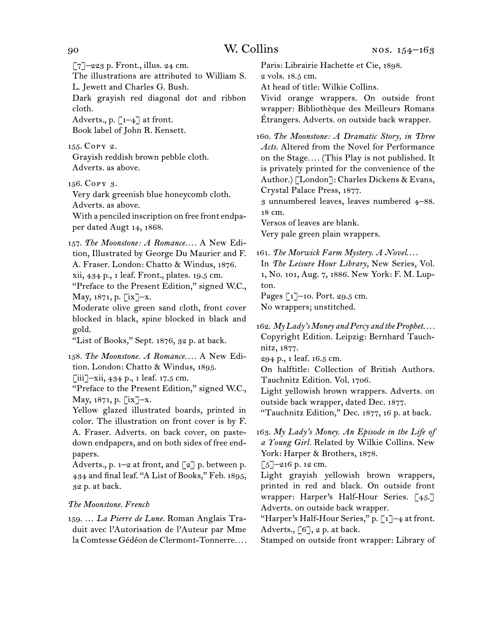$\lceil 7 \rceil$ –223 p. Front., illus. 24 cm.

The illustrations are attributed to William S. L. Jewett and Charles G. Bush.

Dark grayish red diagonal dot and ribbon cloth.

Adverts., p.  $\lceil 1-4 \rceil$  at front. Book label of John R. Kensett.

155.  Copy 2.

Grayish reddish brown pebble cloth. Adverts. as above.

156.  Copy 3.

Very dark greenish blue honeycomb cloth. Adverts. as above.

With a penciled inscription on free front endpaper dated Augt 14, 1868.

157.  *The Moonstone: A Romance. . . .* A New Edition, Illustrated by George Du Maurier and F. A. Fraser. London: Chatto & Windus, 1876. xii, 434 p., 1 leaf. Front., plates. 19.5 cm. "Preface to the Present Edition," signed W.C.,

May,  $1871$ , p.  $\lfloor x \rfloor - x$ .

Moderate olive green sand cloth, front cover blocked in black, spine blocked in black and gold.

"List of Books," Sept. 1876, 32 p. at back.

158.  *The Moonstone. A Romance. . . .* A New Edition. London: Chatto & Windus, 1895. [iii]–xii, 434 p., 1 leaf. 17.5 cm.

"Preface to the Present Edition," signed W.C., May, 1871, p. [ix]–x.

Yellow glazed illustrated boards, printed in color. The illustration on front cover is by F. A. Fraser. Adverts. on back cover, on pastedown endpapers, and on both sides of free endpapers.

Adverts., p.  $1-2$  at front, and  $\lceil 2 \rceil$  p. between p. 434 and final leaf. "A List of Books," Feb. 1895, 32 p. at back.

# *The Moonstone. French*

159.  … *La Pierre de Lune.* Roman Anglais Traduit avec l'Autorisation de l'Auteur par Mme la Comtesse Gédéon de Clermont-Tonnerre*. . . .*

Paris: Librairie Hachette et Cie, 1898. 2 vols. 18.5 cm.

At head of title: Wilkie Collins.

Vivid orange wrappers. On outside front wrapper: Bibliothèque des Meilleurs Romans Étrangers. Adverts. on outside back wrapper.

160.  *The Moonstone: A Dramatic Story, in Three Acts.* Altered from the Novel for Performance on the Stage*. . . .* (This Play is not published. It is privately printed for the convenience of the Author.) [London]: Charles Dickens & Evans, Crystal Palace Press, 1877.

3 unnumbered leaves, leaves numbered 4–88. 18 cm.

Versos of leaves are blank.

Very pale green plain wrappers.

161.  *The Morwick Farm Mystery. A Novel*. . . .

In *The Leisure Hour Library,* New Series, Vol. 1, No. 101, Aug. 7, 1886. New York: F. M. Lupton.

Pages [1]–10. Port. 29.5 cm. No wrappers; unstitched.

162.  *My Lady's Money and Percy and the Prophet. . . .* Copyright Edition. Leipzig: Bernhard Tauchnitz, 1877.

294 p., 1 leaf. 16.5 cm.

On halftitle: Collection of British Authors. Tauchnitz Edition. Vol. 1706.

Light yellowish brown wrappers. Adverts. on outside back wrapper, dated Dec. 1877.

"Tauchnitz Edition," Dec. 1877, 16 p. at back.

163.  *My Lady's Money. An Episode in the Life of a Young Girl.* Related by Wilkie Collins. New York: Harper & Brothers, 1878.

 $\lceil 5 \rceil$ -216 p. 12 cm.

Light grayish yellowish brown wrappers, printed in red and black. On outside front wrapper: Harper's Half-Hour Series. [45.] Adverts. on outside back wrapper.

"Harper's Half-Hour Series," p.  $\lceil 1 \rceil$ -4 at front. Adverts.,  $[6]$ , 2 p. at back.

Stamped on outside front wrapper: Library of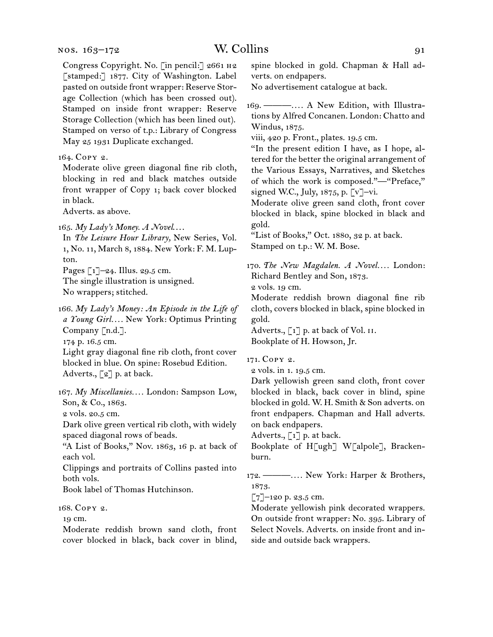### nos. 163–172

Congress Copyright. No. [in pencil:] 2661 h2 [stamped:] 1877. City of Washington. Label pasted on outside front wrapper: Reserve Storage Collection (which has been crossed out). Stamped on inside front wrapper: Reserve Storage Collection (which has been lined out). Stamped on verso of t.p.: Library of Congress May 25 1931 Duplicate exchanged.

164.  Copy 2.

Moderate olive green diagonal fine rib cloth, blocking in red and black matches outside front wrapper of Copy 1; back cover blocked in black.

Adverts. as above.

165.  *My Lady's Money. A Novel*. . . .

In *The Leisure Hour Library,* New Series, Vol. 1, No. 11, March 8, 1884. New York: F. M. Lupton.

Pages  $\lceil 1 \rceil$ –24. Illus. 29.5 cm.

The single illustration is unsigned. No wrappers; stitched.

166.  *My Lady's Money: An Episode in the Life of a Young Girl. . . .* New York: Optimus Printing Company [n.d.]. 174 p. 16.5 cm.

Light gray diagonal fine rib cloth, front cover blocked in blue. On spine: Rosebud Edition. Adverts.,  $\lceil 2 \rceil$  p. at back.

167.  *My Miscellanies. . . .* London: Sampson Low, Son, & Co., 1863.

2 vols. 20.5 cm.

Dark olive green vertical rib cloth, with widely spaced diagonal rows of beads.

"A List of Books," Nov. 1863, 16 p. at back of each vol.

Clippings and portraits of Collins pasted into both vols.

Book label of Thomas Hutchinson.

168.  Copy 2.

19 cm.

Moderate reddish brown sand cloth, front cover blocked in black, back cover in blind, spine blocked in gold. Chapman & Hall adverts. on endpapers.

No advertisement catalogue at back.

169.  ———*. . . .* A New Edition, with Illustrations by Alfred Concanen. London: Chatto and Windus, 1875.

viii, 420 p. Front., plates. 19.5 cm.

"In the present edition I have, as I hope, altered for the better the original arrangement of the Various Essays, Narratives, and Sketches of which the work is composed."—"Preface," signed W.C., July, 1875, p. [v]–vi.

Moderate olive green sand cloth, front cover blocked in black, spine blocked in black and gold.

"List of Books," Oct. 1880, 32 p. at back. Stamped on t.p.: W. M. Bose.

170.  *The New Magdalen. A Novel. . . .* London: Richard Bentley and Son, 1873.

2 vols. 19 cm.

Moderate reddish brown diagonal fine rib cloth, covers blocked in black, spine blocked in gold.

Adverts.,  $\begin{bmatrix} 1 \end{bmatrix}$  p. at back of Vol. II. Bookplate of H. Howson, Jr.

171.  Copy 2.

2 vols. in 1. 19.5 cm.

Dark yellowish green sand cloth, front cover blocked in black, back cover in blind, spine blocked in gold. W. H. Smith & Son adverts. on front endpapers. Chapman and Hall adverts. on back endpapers.

Adverts.,  $\lceil 1 \rceil$  p. at back.

Bookplate of H[ugh] W[alpole], Brackenburn.

172.  ———*. . . .* New York: Harper & Brothers, 1873.

 $[7]$ –120 p. 23.5 cm.

Moderate yellowish pink decorated wrappers. On outside front wrapper: No. 395. Library of Select Novels. Adverts. on inside front and inside and outside back wrappers.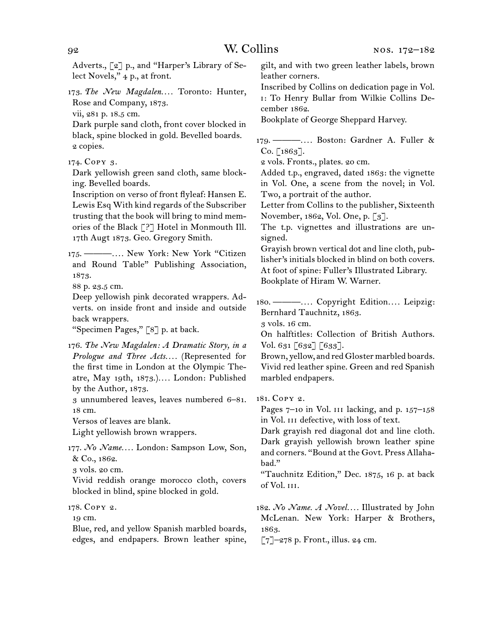Adverts., [2] p., and "Harper's Library of Select Novels," 4 p., at front.

173.  *The New Magdalen. . . .* Toronto: Hunter, Rose and Company, 1873.

vii, 281 p. 18.5 cm.

Dark purple sand cloth, front cover blocked in black, spine blocked in gold. Bevelled boards. 2 copies.

174.  Copy 3.

Dark yellowish green sand cloth, same blocking. Bevelled boards.

Inscription on verso of front flyleaf: Hansen E. Lewis Esq With kind regards of the Subscriber trusting that the book will bring to mind memories of the Black [?] Hotel in Monmouth Ill. 17th Augt 1873. Geo. Gregory Smith.

175.  ———*. . . .* New York: New York "Citizen and Round Table" Publishing Association, 1873.

88 p. 23.5 cm.

Deep yellowish pink decorated wrappers. Adverts. on inside front and inside and outside back wrappers.

"Specimen Pages," [8] p. at back.

176.  *The New Magdalen: A Dramatic Story, in a Prologue and Three Acts. . . .* (Represented for the first time in London at the Olympic Theatre, May 19th, 1873.)*. . . .* London: Published by the Author, 1873.

3 unnumbered leaves, leaves numbered 6–81. 18 cm.

Versos of leaves are blank.

Light yellowish brown wrappers.

177.  *No Name. . . .* London: Sampson Low, Son, & Co., 1862.

3 vols. 20 cm.

Vivid reddish orange morocco cloth, covers blocked in blind, spine blocked in gold.

178.  Copy 2.

19 cm.

Blue, red, and yellow Spanish marbled boards, edges, and endpapers. Brown leather spine, gilt, and with two green leather labels, brown leather corners.

Inscribed by Collins on dedication page in Vol. i: To Henry Bullar from Wilkie Collins December 1862.

Bookplate of George Sheppard Harvey.

179.  ———*. . . .* Boston: Gardner A. Fuller &  $Co. [1863]$ .

2 vols. Fronts., plates. 20 cm.

Added t.p., engraved, dated 1863: the vignette in Vol. One, a scene from the novel; in Vol. Two, a portrait of the author.

Letter from Collins to the publisher, Sixteenth November, 1862, Vol. One, p. [3].

The t.p. vignettes and illustrations are unsigned.

Grayish brown vertical dot and line cloth, publisher's initials blocked in blind on both covers. At foot of spine: Fuller's Illustrated Library. Bookplate of Hiram W. Warner.

180.  ———*. . . .* Copyright Edition*. . . .* Leipzig: Bernhard Tauchnitz, 1863.

3 vols. 16 cm.

On halftitles: Collection of British Authors. Vol. 631 [632] [633].

Brown, yellow, and red Gloster marbled boards. Vivid red leather spine. Green and red Spanish marbled endpapers.

181.  Copy 2.

Pages  $7-10$  in Vol. III lacking, and p.  $157-158$ in Vol. III defective, with loss of text.

Dark grayish red diagonal dot and line cloth. Dark grayish yellowish brown leather spine and corners. "Bound at the Govt. Press Allahabad."

"Tauchnitz Edition," Dec. 1875, 16 p. at back of Vol. iii.

182.  *No Name. A Novel. . . .* Illustrated by John McLenan. New York: Harper & Brothers, 1863.

 $\lceil 7 \rceil$ –278 p. Front., illus. 24 cm.

92 W. Collins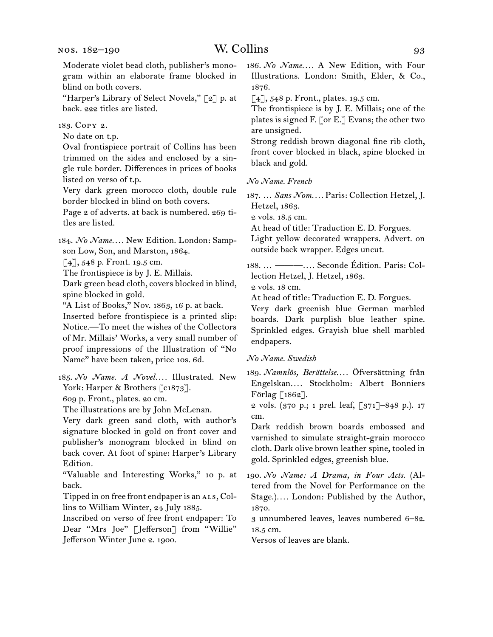Moderate violet bead cloth, publisher's monogram within an elaborate frame blocked in blind on both covers.

"Harper's Library of Select Novels," [2] p. at back. 222 titles are listed.

183.  Copy 2.

No date on t.p.

Oval frontispiece portrait of Collins has been trimmed on the sides and enclosed by a single rule border. Differences in prices of books listed on verso of t.p.

Very dark green morocco cloth, double rule border blocked in blind on both covers.

Page 2 of adverts. at back is numbered. 269 titles are listed.

184.  *No Name. . . .* New Edition. London: Sampson Low, Son, and Marston, 1864.

 $[4]$ , 548 p. Front. 19.5 cm.

The frontispiece is by J. E. Millais.

Dark green bead cloth, covers blocked in blind, spine blocked in gold.

"A List of Books," Nov. 1863, 16 p. at back.

Inserted before frontispiece is a printed slip: Notice.—To meet the wishes of the Collectors of Mr. Millais' Works, a very small number of proof impressions of the Illustration of "No Name" have been taken, price 10s. 6d.

185.  *No Name. A Novel. . . .* Illustrated. New York: Harper & Brothers [c1873].

609 p. Front., plates. 20 cm.

The illustrations are by John McLenan.

Very dark green sand cloth, with author's signature blocked in gold on front cover and publisher's monogram blocked in blind on back cover. At foot of spine: Harper's Library Edition.

"Valuable and Interesting Works," 10 p. at back.

Tipped in on free front endpaper is an ALS, Collins to William Winter, 24 July 1885.

Inscribed on verso of free front endpaper: To Dear "Mrs Joe" [Jefferson] from "Willie" Jefferson Winter June 2. 1900.

186.  *No Name. . . .* A New Edition, with Four Illustrations. London: Smith, Elder, & Co., 1876.

 $\lceil 4 \rceil$ , 548 p. Front., plates. 19.5 cm.

The frontispiece is by J. E. Millais; one of the plates is signed F. [or E.] Evans; the other two are unsigned.

Strong reddish brown diagonal fine rib cloth, front cover blocked in black, spine blocked in black and gold.

*No Name. French*

187.  … *Sans Nom. . . .* Paris: Collection Hetzel, J. Hetzel, 1863.

2 vols. 18.5 cm.

At head of title: Traduction E. D. Forgues.

Light yellow decorated wrappers. Advert. on outside back wrapper. Edges uncut.

188.  … ———*. . . .* Seconde Édition. Paris: Collection Hetzel, J. Hetzel, 1863.

2 vols. 18 cm.

At head of title: Traduction E. D. Forgues.

Very dark greenish blue German marbled boards. Dark purplish blue leather spine. Sprinkled edges. Grayish blue shell marbled endpapers.

*No Name. Swedish*

189.  *Namnlös, Berättelse. . . .* Öfversättning från Engelskan*. . . .* Stockholm: Albert Bonniers Förlag [1862].

2 vols. (370 p.; 1 prel. leaf, [371]–848 p.). 17 cm.

Dark reddish brown boards embossed and varnished to simulate straight-grain morocco cloth. Dark olive brown leather spine, tooled in gold. Sprinkled edges, greenish blue.

190.  *No Name: A Drama, in Four Acts.* (Altered from the Novel for Performance on the Stage.)*. . . .* London: Published by the Author, 1870.

3 unnumbered leaves, leaves numbered 6–82. 18.5 cm.

Versos of leaves are blank.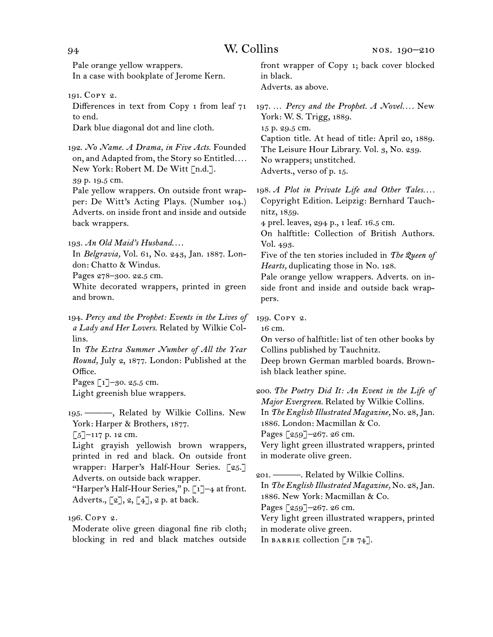Pale orange yellow wrappers. In a case with bookplate of Jerome Kern.

191.  Copy 2.

Differences in text from Copy 1 from leaf 71 to end.

Dark blue diagonal dot and line cloth.

192.  *No Name. A Drama, in Five Acts.* Founded on, and Adapted from, the Story so Entitled*. . . .* New York: Robert M. De Witt [n.d.]. 39 p. 19.5 cm.

Pale yellow wrappers. On outside front wrapper: De Witt's Acting Plays. (Number 104.) Adverts. on inside front and inside and outside back wrappers.

193.  *An Old Maid's Husband*. . . .

In *Belgravia,* Vol. 61, No. 243, Jan. 1887. London: Chatto & Windus.

Pages 278–300. 22.5 cm.

White decorated wrappers, printed in green and brown.

194.  *Percy and the Prophet: Events in the Lives of a Lady and Her Lovers.* Related by Wilkie Collins.

In *The Extra Summer Number of All the Year Round,* July 2, 1877. London: Published at the Office.

Pages [1]–30. 25.5 cm. Light greenish blue wrappers.

195.  ———, Related by Wilkie Collins. New York: Harper & Brothers, 1877.

 $\lceil 5 \rceil$ –117 p. 12 cm.

Light grayish yellowish brown wrappers, printed in red and black. On outside front wrapper: Harper's Half-Hour Series. [25.] Adverts. on outside back wrapper.

"Harper's Half-Hour Series," p. [1]-4 at front. Adverts.,  $[2], 2, [4], 2$  p. at back.

196.  Copy 2.

Moderate olive green diagonal fine rib cloth; blocking in red and black matches outside

front wrapper of Copy 1; back cover blocked in black. Adverts. as above.

197.  … *Percy and the Prophet. A Novel. . . .* New York: W. S. Trigg, 1889. 15 p. 29.5 cm. Caption title. At head of title: April 20, 1889. The Leisure Hour Library. Vol. 3, No. 239. No wrappers; unstitched. Adverts., verso of p. 15.

198.  *A Plot in Private Life and Other Tales. . . .* Copyright Edition. Leipzig: Bernhard Tauchnitz, 1859.

4 prel. leaves, 294 p., 1 leaf. 16.5 cm.

On halftitle: Collection of British Authors. Vol. 493.

Five of the ten stories included in *The Queen of Hearts,* duplicating those in No. 128.

Pale orange yellow wrappers. Adverts. on inside front and inside and outside back wrappers.

199.  Copy 2.

16 cm.

On verso of halftitle: list of ten other books by Collins published by Tauchnitz.

Deep brown German marbled boards. Brownish black leather spine.

200.  *The Poetry Did It: An Event in the Life of Major Evergreen.* Related by Wilkie Collins. In *The English Illustrated Magazine,* No. 28,Jan. 1886. London: Macmillan & Co. Pages [259]-267. 26 cm. Very light green illustrated wrappers, printed in moderate olive green.

201.  ———. Related by Wilkie Collins. In *The English Illustrated Magazine,* No. 28,Jan. 1886. New York: Macmillan & Co. Pages [259]–267. 26 cm. Very light green illustrated wrappers, printed in moderate olive green. In BARRIE collection  $[JB 74]$ .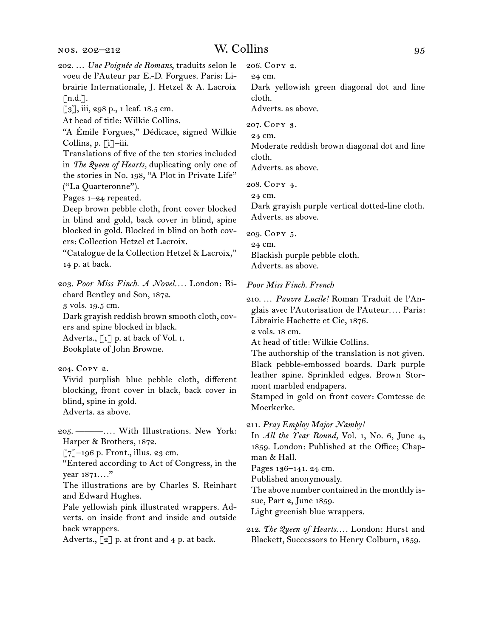202.  … *Une Poignée de Romans*, traduits selon le voeu de l'Auteur par E.-D. Forgues. Paris: Librairie Internationale, J. Hetzel & A. Lacroix  $\lceil$ n.d. $\rceil$ . [3], iii, 298 p., 1 leaf. 18.5 cm. At head of title: Wilkie Collins. "A Émile Forgues," Dédicace, signed Wilkie Collins, p. [i]–iii. Translations of five of the ten stories included in *The Queen of Hearts,* duplicating only one of the stories in No. 198, "A Plot in Private Life" ("La Quarteronne"). Pages 1–24 repeated. Deep brown pebble cloth, front cover blocked in blind and gold, back cover in blind, spine blocked in gold. Blocked in blind on both covers: Collection Hetzel et Lacroix. "Catalogue de la Collection Hetzel & Lacroix," 14 p. at back. 203.  *Poor Miss Finch. A Novel. . . .* London: Richard Bentley and Son, 1872. 3 vols. 19.5 cm. Dark grayish reddish brown smooth cloth, covers and spine blocked in black. Adverts.,  $\lceil 1 \rceil$  p. at back of Vol. I. Bookplate of John Browne. 204.  Copy 2. Vivid purplish blue pebble cloth, different blocking, front cover in black, back cover in blind, spine in gold. Adverts. as above. 205.  ———*. . . .* With Illustrations. New York: Harper & Brothers, 1872.  $\lceil 7 \rceil$ –196 p. Front., illus. 23 cm. "Entered according to Act of Congress, in the year 1871*. . . .*" The illustrations are by Charles S. Reinhart and Edward Hughes. Pale yellowish pink illustrated wrappers. Adverts. on inside front and inside and outside back wrappers. 24 cm.

Adverts.,  $\lbrack 2 \rbrack$  p. at front and 4 p. at back.

206.  Copy 2.

24 cm.

Dark yellowish green diagonal dot and line cloth.

Adverts. as above.

207.  Copy 3.

24 cm.

Moderate reddish brown diagonal dot and line cloth. Adverts. as above.

208.  Copy 4.

Dark grayish purple vertical dotted-line cloth. Adverts. as above.

209.  Copy 5. 24 cm. Blackish purple pebble cloth. Adverts. as above.

### *Poor Miss Finch. French*

210.  … *Pauvre Lucile!* Roman Traduit de l'Anglais avec l'Autorisation de l'Auteur*. . . .* Paris: Librairie Hachette et Cie, 1876.

2 vols. 18 cm.

At head of title: Wilkie Collins.

The authorship of the translation is not given. Black pebble-embossed boards. Dark purple leather spine. Sprinkled edges. Brown Stormont marbled endpapers.

Stamped in gold on front cover: Comtesse de Moerkerke.

211.  *Pray Employ Major Namby!*

In *All the Year Round,* Vol. 1, No. 6, June 4, 1859. London: Published at the Office; Chapman & Hall.

Pages 136–141. 24 cm.

Published anonymously.

The above number contained in the monthly issue, Part 2, June 1859.

Light greenish blue wrappers.

212.  *The Queen of Hearts. . . .* London: Hurst and Blackett, Successors to Henry Colburn, 1859.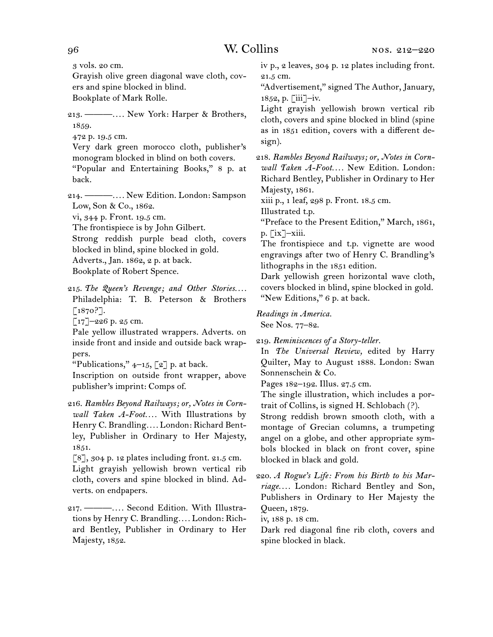3 vols. 20 cm.

Grayish olive green diagonal wave cloth, covers and spine blocked in blind.

Bookplate of Mark Rolle.

213.  ———*. . . .* New York: Harper & Brothers, 1859.

472 p. 19.5 cm.

Very dark green morocco cloth, publisher's monogram blocked in blind on both covers. "Popular and Entertaining Books," 8 p. at back.

214.  ———*. . . .* New Edition. London: Sampson Low, Son & Co., 1862.

vi, 344 p. Front. 19.5 cm.

The frontispiece is by John Gilbert.

Strong reddish purple bead cloth, covers blocked in blind, spine blocked in gold. Adverts., Jan. 1862, 2 p. at back.

Bookplate of Robert Spence.

215.  *The Queen's Revenge; and Other Stories. . . .* Philadelphia: T. B. Peterson & Brothers [1870?].

 $[17]$ –226 p. 25 cm.

Pale yellow illustrated wrappers. Adverts. on inside front and inside and outside back wrappers.

"Publications,"  $4-15$ ,  $\lceil 2 \rceil$  p. at back.

Inscription on outside front wrapper, above publisher's imprint: Comps of.

216.  *Rambles Beyond Railways; or, Notes in Cornwall Taken A-Foot. . . .* With Illustrations by Henry C. Brandling*. . . .* London: Richard Bentley, Publisher in Ordinary to Her Majesty, 1851.

 $\lceil 8 \rceil$ , 304 p. 12 plates including front. 21.5 cm. Light grayish yellowish brown vertical rib cloth, covers and spine blocked in blind. Adverts. on endpapers.

217.  ———*. . . .* Second Edition. With Illustrations by Henry C. Brandling*. . . .* London: Richard Bentley, Publisher in Ordinary to Her Majesty, 1852.

iv p., 2 leaves, 304 p. 12 plates including front. 21.5 cm.

"Advertisement," signed The Author, January, 1852, p. [iii]–iv.

Light grayish yellowish brown vertical rib cloth, covers and spine blocked in blind (spine as in 1851 edition, covers with a different design).

218.  *Rambles Beyond Railways; or, Notes in Cornwall Taken A-Foot. . . .* New Edition. London: Richard Bentley, Publisher in Ordinary to Her Majesty, 1861.

xiii p., 1 leaf, 298 p. Front. 18.5 cm.

Illustrated t.p.

"Preface to the Present Edition," March, 1861, p. [ix]–xiii.

The frontispiece and t.p. vignette are wood engravings after two of Henry C. Brandling's lithographs in the 1851 edition.

Dark yellowish green horizontal wave cloth, covers blocked in blind, spine blocked in gold. "New Editions," 6 p. at back.

*Readings in America.* See Nos. 77–82.

219.  *Reminiscences of a Story-teller.*

In *The Universal Review,* edited by Harry Quilter, May to August 1888. London: Swan Sonnenschein & Co.

Pages 182–192. Illus. 27.5 cm.

The single illustration, which includes a portrait of Collins, is signed H. Schlobach (?).

Strong reddish brown smooth cloth, with a montage of Grecian columns, a trumpeting angel on a globe, and other appropriate symbols blocked in black on front cover, spine blocked in black and gold.

220.  *A Rogue's Life: From his Birth to his Marriage. . . .* London: Richard Bentley and Son, Publishers in Ordinary to Her Majesty the Queen, 1879.

iv, 188 p. 18 cm.

Dark red diagonal fine rib cloth, covers and spine blocked in black.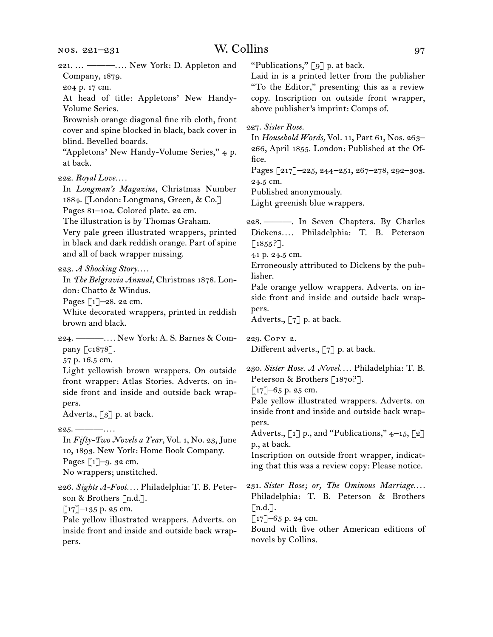221.  … ———*. . . .* New York: D. Appleton and Company, 1879. 204 p. 17 cm. At head of title: Appletons' New Handy-Volume Series. Brownish orange diagonal fine rib cloth, front cover and spine blocked in black, back cover in blind. Bevelled boards. "Appletons' New Handy-Volume Series," 4 p. at back. 222.  *Royal Love. . . .* In *Longman's Magazine,* Christmas Number 1884. [London: Longmans, Green, & Co.] Pages 81–102. Colored plate. 22 cm. The illustration is by Thomas Graham. Very pale green illustrated wrappers, printed in black and dark reddish orange. Part of spine and all of back wrapper missing. 223.  *A Shocking Story*. . . . In *The Belgravia Annual,* Christmas 1878. London: Chatto & Windus. Pages  $\lceil 1 \rceil$ –28. 22 cm. White decorated wrappers, printed in reddish brown and black. 224.  ———*. . . .* New York: A. S. Barnes & Company [c1878]. 57 p. 16.5 cm. Light yellowish brown wrappers. On outside front wrapper: Atlas Stories. Adverts. on inside front and inside and outside back wrappers. Adverts., [3] p. at back. 225.  ———*. . . .* In *Fifty-Two Novels a Year,* Vol. 1, No. 23, June 10, 1893. New York: Home Book Company. Pages [1]–9. 32 cm. No wrappers; unstitched. 226.  *Sights A-Foot. . . .* Philadelphia: T. B. Peterson & Brothers [n.d.].  $\lceil 17 \rceil$ –135 p. 25 cm. Pale yellow illustrated wrappers. Adverts. on inside front and inside and outside back wrappers. "Publications,"  $\lceil 9 \rceil$  p. at back. Laid in is a printed letter from the publisher "To the Editor," presenting this as a review copy. Inscription on outside front wrapper, above publisher's imprint: Comps of. 227.  *Sister Rose.* In *Household Words,* Vol. 11, Part 61, Nos. 263– 266, April 1855. London: Published at the Office. Pages [217]–225, 244–251, 267–278, 292–303. 24.5 cm. Published anonymously. Light greenish blue wrappers. 228.  ———. In Seven Chapters. By Charles Dickens*. . . .* Philadelphia: T. B. Peterson  $\lceil 1855? \rceil$ . 41 p. 24.5 cm. Erroneously attributed to Dickens by the publisher. Pale orange yellow wrappers. Adverts. on inside front and inside and outside back wrappers. Adverts., [7] p. at back. 229.  Copy 2. Different adverts., [7] p. at back. 230.  *Sister Rose. A Novel. . . .* Philadelphia: T. B. Peterson & Brothers [1870?].  $\lceil 17 \rceil$ –65 p. 25 cm. Pale yellow illustrated wrappers. Adverts. on inside front and inside and outside back wrappers. Adverts.,  $\begin{bmatrix} 1 \end{bmatrix}$  p., and "Publications," 4–15,  $\begin{bmatrix} 2 \end{bmatrix}$ p., at back. Inscription on outside front wrapper, indicating that this was a review copy: Please notice. 231.  *Sister Rose; or, The Ominous Marriage. . . .*  Philadelphia: T. B. Peterson & Brothers  $[n.d.]$ .  $\lbrack 17 \rbrack - 65$  p. 24 cm. Bound with five other American editions of novels by Collins.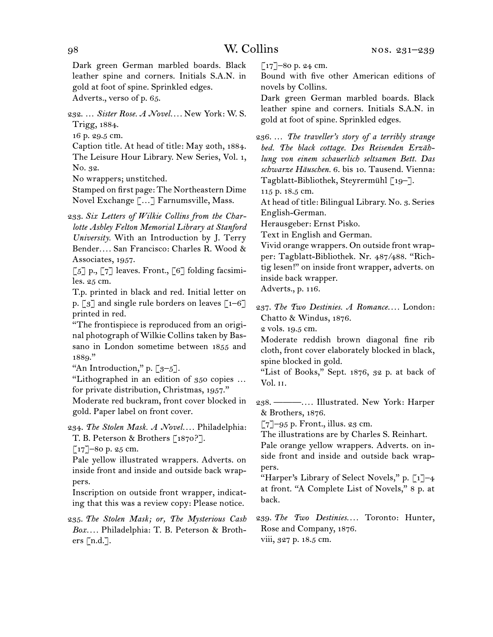Dark green German marbled boards. Black leather spine and corners. Initials S.A.N. in gold at foot of spine. Sprinkled edges. Adverts., verso of p. 65.

232.  … *Sister Rose. A Novel. . . .* New York: W. S. Trigg, 1884.

16 p. 29.5 cm.

Caption title. At head of title: May 20th, 1884. The Leisure Hour Library. New Series, Vol. 1, No. 32.

No wrappers; unstitched.

Stamped on first page: The Northeastern Dime Novel Exchange […] Farnumsville, Mass.

233.  *Six Letters of Wilkie Collins from the Charlotte Ashley Felton Memorial Library at Stanford University.* With an Introduction by J. Terry Bender*. . . .* San Francisco: Charles R. Wood & Associates, 1957.

 $\lceil 5 \rceil$  p.,  $\lceil 7 \rceil$  leaves. Front.,  $\lceil 6 \rceil$  folding facsimiles. 25 cm.

T.p. printed in black and red. Initial letter on p.  $\lceil 3 \rceil$  and single rule borders on leaves  $\lceil 1-6 \rceil$ printed in red.

"The frontispiece is reproduced from an original photograph of Wilkie Collins taken by Bassano in London sometime between 1855 and 1889."

"An Introduction," p.  $\lceil 3-5 \rceil$ .

"Lithographed in an edition of 350 copies … for private distribution, Christmas, 1957."

Moderate red buckram, front cover blocked in gold. Paper label on front cover.

234.  *The Stolen Mask. A Novel. . . .* Philadelphia: T. B. Peterson & Brothers [1870?].

 $\lceil 17 \rceil$ –80 p. 25 cm.

Pale yellow illustrated wrappers. Adverts. on inside front and inside and outside back wrappers.

Inscription on outside front wrapper, indicating that this was a review copy: Please notice.

235.  *The Stolen Mask; or, The Mysterious Cash Box. . . .* Philadelphia: T. B. Peterson & Brothers  $\lceil n.d.\rceil$ .

 $\lceil 17 \rceil$ –80 p. 24 cm.

Bound with five other American editions of novels by Collins.

Dark green German marbled boards. Black leather spine and corners. Initials S.A.N. in gold at foot of spine. Sprinkled edges.

236.  … *The traveller's story of a terribly strange bed. The black cottage. Des Reisenden Erzählung von einem schauerlich seltsamen Bett. Das schwarze Häuschen.* 6. bis 10. Tausend. Vienna: Tagblatt-Bibliothek, Steyrermühl [19–].

115 p. 18.5 cm.

At head of title: Bilingual Library. No. 3. Series English-German.

Herausgeber: Ernst Pisko.

Text in English and German.

Vivid orange wrappers. On outside front wrapper: Tagblatt-Bibliothek. Nr. 487/488. "Richtig lesen!" on inside front wrapper, adverts. on inside back wrapper.

Adverts., p. 116.

237.  *The Two Destinies. A Romance. . . .* London: Chatto & Windus, 1876.

2 vols. 19.5 cm.

Moderate reddish brown diagonal fine rib cloth, front cover elaborately blocked in black, spine blocked in gold.

"List of Books," Sept. 1876, 32 p. at back of Vol. ii.

238.  ———*. . . .* Illustrated. New York: Harper & Brothers, 1876.

[7]-95 p. Front., illus. 23 cm.

The illustrations are by Charles S. Reinhart.

Pale orange yellow wrappers. Adverts. on inside front and inside and outside back wrappers.

"Harper's Library of Select Novels," p.  $\lceil 1 \rceil$ –4 at front. "A Complete List of Novels," 8 p. at back.

239.  *The Two Destinies. . . .* Toronto: Hunter, Rose and Company, 1876. viii, 327 p. 18.5 cm.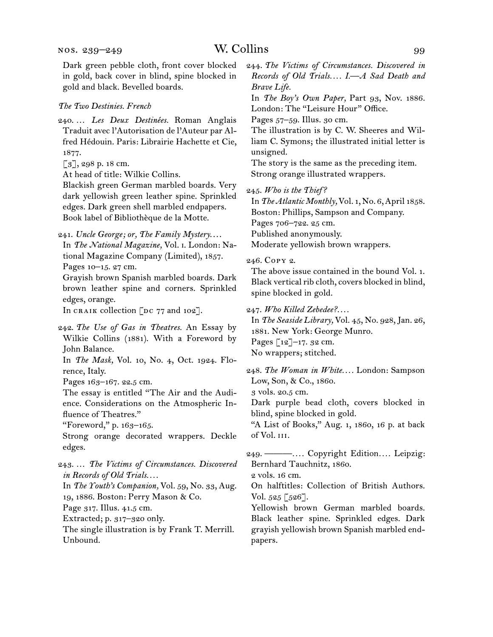Dark green pebble cloth, front cover blocked in gold, back cover in blind, spine blocked in gold and black. Bevelled boards.

# *The Two Destinies. French*

240.  … *Les Deux Destinées.* Roman Anglais Traduit avec l'Autorisation de l'Auteur par Alfred Hédouin. Paris: Librairie Hachette et Cie, 1877.

[3], 298 p. 18 cm.

At head of title: Wilkie Collins.

Blackish green German marbled boards. Very dark yellowish green leather spine. Sprinkled edges. Dark green shell marbled endpapers. Book label of Bibliothèque de la Motte.

241.  *Uncle George; or, The Family Mystery*. . . . In *The National Magazine,* Vol. i. London: National Magazine Company (Limited), 1857. Pages 10–15. 27 cm.

Grayish brown Spanish marbled boards. Dark brown leather spine and corners. Sprinkled edges, orange.

In CRAIK collection  $\lceil$ DC 77 and 102].

242.  *The Use of Gas in Theatres.* An Essay by Wilkie Collins (1881). With a Foreword by John Balance. In *The Mask,* Vol. 10, No. 4, Oct. 1924. Flo-

rence, Italy.

Pages 163–167. 22.5 cm.

The essay is entitled "The Air and the Audience. Considerations on the Atmospheric Influence of Theatres."

"Foreword," p. 163–165.

Strong orange decorated wrappers. Deckle edges.

- 243.  … *The Victims of Circumstances. Discovered in Records of Old Trials. . . .*
- In *The Youth's Companion,* Vol. 59, No. 33, Aug. 19, 1886. Boston: Perry Mason & Co.

Page 317. Illus. 41.5 cm.

Extracted; p. 317–320 only.

The single illustration is by Frank T. Merrill. Unbound.

244.  *The Victims of Circumstances. Discovered in Records of Old Trials. . . . I.—A Sad Death and Brave Life.*

In *The Boy's Own Paper,* Part 93, Nov. 1886. London: The "Leisure Hour" Office.

Pages 57–59. Illus. 30 cm.

The illustration is by C. W. Sheeres and William C. Symons; the illustrated initial letter is unsigned.

The story is the same as the preceding item. Strong orange illustrated wrappers.

In*The Atlantic Monthly,* Vol. 1, No. 6,April 1858. Boston: Phillips, Sampson and Company. Pages 706–722. 25 cm. Published anonymously. Moderate yellowish brown wrappers.

# 246.  Copy 2.

The above issue contained in the bound Vol. 1. Black vertical rib cloth, covers blocked in blind, spine blocked in gold.

247.  *Who Killed Zebedee?. . . .*

In *The Seaside Library,* Vol. 45, No. 928,Jan. 26, 1881. New York: George Munro.

Pages [12]–17. 32 cm.

No wrappers; stitched.

248.  *The Woman in White. . . .* London: Sampson Low, Son, & Co., 1860.

3 vols. 20.5 cm.

Dark purple bead cloth, covers blocked in blind, spine blocked in gold.

"A List of Books," Aug. 1, 1860, 16 p. at back of Vol. iii.

249.  ———*. . . .* Copyright Edition*. . . .* Leipzig: Bernhard Tauchnitz, 1860.

2 vols. 16 cm.

On halftitles: Collection of British Authors. Vol. 525 [526].

Yellowish brown German marbled boards. Black leather spine. Sprinkled edges. Dark grayish yellowish brown Spanish marbled endpapers.

<sup>245.</sup>*Who is the Thief?*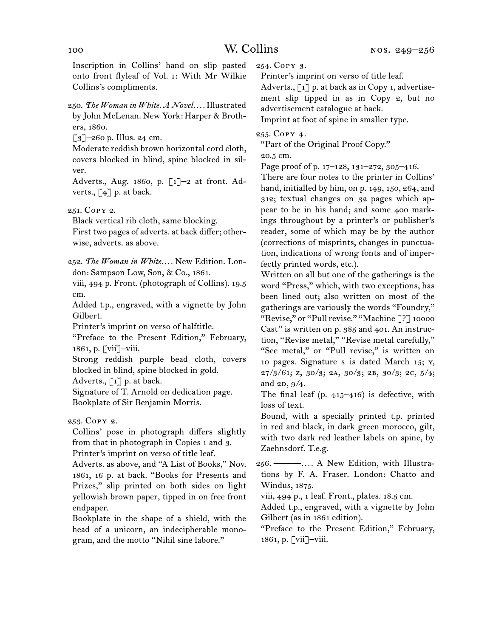Inscription in Collins' hand on slip pasted onto front flyleaf of Vol. i: With Mr Wilkie Collins's compliments.

250.  *The Woman in White. A Novel. . . .*Illustrated by John McLenan. New York: Harper & Brothers, 1860.

 $\lceil 3 \rceil$ –260 p. Illus. 24 cm.

Moderate reddish brown horizontal cord cloth, covers blocked in blind, spine blocked in silver.

Adverts., Aug. 1860, p. [1]–2 at front. Adverts.,  $\lceil 4 \rceil$  p. at back.

251.  Copy 2.

Black vertical rib cloth, same blocking. First two pages of adverts. at back differ; otherwise, adverts. as above.

252.  *The Woman in White. . . .* New Edition. London: Sampson Low, Son, & Co., 1861.

viii, 494 p. Front. (photograph of Collins). 19.5 cm.

Added t.p., engraved, with a vignette by John Gilbert.

Printer's imprint on verso of halftitle.

"Preface to the Present Edition," February, 1861, p. [vii]–viii.

Strong reddish purple bead cloth, covers blocked in blind, spine blocked in gold.

Adverts.,  $\lceil 1 \rceil$  p. at back.

Signature of T. Arnold on dedication page. Bookplate of Sir Benjamin Morris.

253.  Copy 2.

Collins' pose in photograph differs slightly from that in photograph in Copies 1 and 3. Printer's imprint on verso of title leaf.

Adverts. as above, and "A List of Books," Nov. 1861, 16 p. at back. "Books for Presents and Prizes," slip printed on both sides on light yellowish brown paper, tipped in on free front endpaper.

Bookplate in the shape of a shield, with the head of a unicorn, an indecipherable monogram, and the motto "Nihil sine labore."

254.  Copy 3.

Printer's imprint on verso of title leaf.

Adverts.,  $\lceil 1 \rceil$  p. at back as in Copy 1, advertisement slip tipped in as in Copy 2, but no advertisement catalogue at back.

Imprint at foot of spine in smaller type.

255.  Copy 4.

"Part of the Original Proof Copy."

20.5 cm.

Page proof of p. 17–128, 131–272, 305–416.

There are four notes to the printer in Collins' hand, initialled by him, on p. 149, 150, 264, and 312; textual changes on 32 pages which appear to be in his hand; and some 400 markings throughout by a printer's or publisher's reader, some of which may be by the author (corrections of misprints, changes in punctuation, indications of wrong fonts and of imperfectly printed words, etc.).

Written on all but one of the gatherings is the word "Press," which, with two exceptions, has been lined out; also written on most of the gatherings are variously the words "Foundry," "Revise," or "Pull revise." "Machine [?] 10000 Cast" is written on p. 385 and 401. An instruction, "Revise metal," "Revise metal carefully," "See metal," or "Pull revise," is written on 10 pages. Signature s is dated March 15; y,  $27/3/61$ ; Z,  $30/3$ ; 2A,  $30/3$ ; 2B,  $30/3$ ; 2C,  $5/4$ ; and 2D, 9/4.

The final leaf  $(p. 415-416)$  is defective, with loss of text.

Bound, with a specially printed t.p. printed in red and black, in dark green morocco, gilt, with two dark red leather labels on spine, by Zaehnsdorf. T.e.g.

256.  ———*. . . .* A New Edition, with Illustrations by F. A. Fraser. London: Chatto and Windus, 1875.

viii, 494 p., 1 leaf. Front., plates. 18.5 cm.

Added t.p., engraved, with a vignette by John Gilbert (as in 1861 edition).

"Preface to the Present Edition," February, 1861, p. [vii]–viii.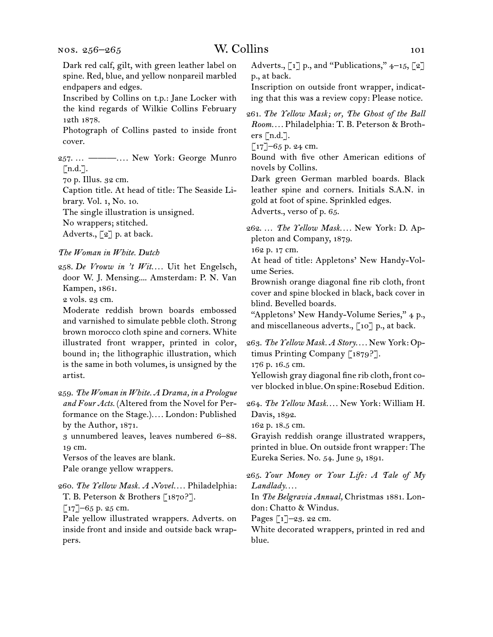nos. 256–265

Dark red calf, gilt, with green leather label on spine. Red, blue, and yellow nonpareil marbled endpapers and edges.

Inscribed by Collins on t.p.: Jane Locker with the kind regards of Wilkie Collins February 12th 1878.

Photograph of Collins pasted to inside front cover.

257.  … ———*. . . .* New York: George Munro [n.d.].

70 p. Illus. 32 cm.

Caption title. At head of title: The Seaside Library. Vol. 1, No. 10. The single illustration is unsigned.

No wrappers; stitched.

Adverts., [2] p. at back.

# *The Woman in White. Dutch*

258.  *De Vrouw in 't Wit. . . .* Uit het Engelsch, door W. J. Mensing.... Amsterdam: P. N. Van Kampen, 1861.

2 vols. 23 cm.

Moderate reddish brown boards embossed and varnished to simulate pebble cloth. Strong brown morocco cloth spine and corners. White illustrated front wrapper, printed in color, bound in; the lithographic illustration, which is the same in both volumes, is unsigned by the artist.

259.  *The Woman in White. A Drama, in a Prologue and Four Acts.* (Altered from the Novel for Performance on the Stage.)*. . . .* London: Published by the Author, 1871.

3 unnumbered leaves, leaves numbered 6–88. 19 cm.

Versos of the leaves are blank. Pale orange yellow wrappers.

260.  *The Yellow Mask. A Novel. . . .* Philadelphia: T. B. Peterson & Brothers [1870?].

 $[17]$ –65 p. 25 cm.

Pale yellow illustrated wrappers. Adverts. on inside front and inside and outside back wrappers.

Adverts.,  $\begin{bmatrix} 1 \end{bmatrix}$  p., and "Publications," 4–15,  $\begin{bmatrix} 2 \end{bmatrix}$ p., at back.

Inscription on outside front wrapper, indicating that this was a review copy: Please notice.

261.  *The Yellow Mask; or, The Ghost of the Ball Room. . . .* Philadelphia: T. B. Peterson & Brothers  $\lceil n.d.\rceil$ .

 $\lceil 17 \rceil$ –65 p. 24 cm.

Bound with five other American editions of novels by Collins.

Dark green German marbled boards. Black leather spine and corners. Initials S.A.N. in gold at foot of spine. Sprinkled edges. Adverts., verso of p. 65.

262.  … *The Yellow Mask. . . .* New York: D. Appleton and Company, 1879.

162 p. 17 cm.

At head of title: Appletons' New Handy-Volume Series.

Brownish orange diagonal fine rib cloth, front cover and spine blocked in black, back cover in blind. Bevelled boards.

"Appletons' New Handy-Volume Series," 4 p., and miscellaneous adverts.,  $\lceil 10 \rceil$  p., at back.

263.  *The Yellow Mask. A Story. . . .* New York: Optimus Printing Company [1879?].

176 p. 16.5 cm.

Yellowish gray diagonal fine rib cloth, front cover blocked inblue.Onspine:Rosebud Edition.

264.  *The Yellow Mask. . . .* New York: William H. Davis, 1892.

162 p. 18.5 cm.

Grayish reddish orange illustrated wrappers, printed in blue. On outside front wrapper: The Eureka Series. No. 54. June 9, 1891.

265.  *Your Money or Your Life: A Tale of My Landlady. . . .*

In *The Belgravia Annual,* Christmas 1881. London: Chatto & Windus.

Pages  $\lceil 1 \rceil$ –23. 22 cm.

White decorated wrappers, printed in red and blue.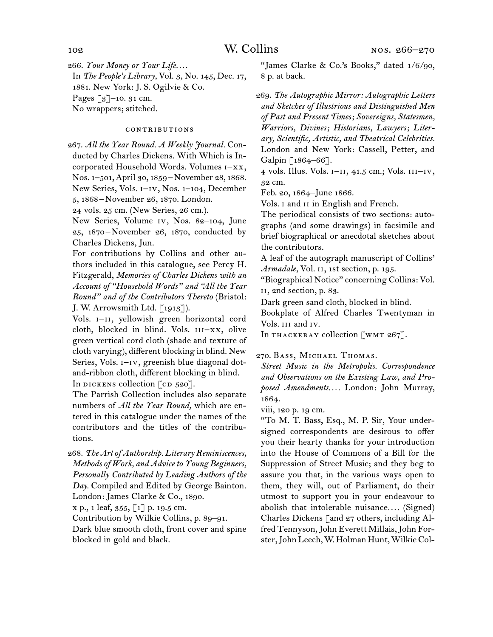266.  *Your Money or Your Life. . . .* In *The People's Library,* Vol. 3, No. 145, Dec. 17, 1881. New York: J. S. Ogilvie & Co. Pages [3]–10. 31 cm.

No wrappers; stitched.

# contributions

267.  *All the Year Round. A Weekly Journal.* Conducted by Charles Dickens. With Which is Incorporated Household Words. Volumes i–xx, Nos. 1–501,April 30, 1859 – November 28, 1868. New Series, Vols. i–iv, Nos. 1–104, December 5, 1868 – November 26, 1870. London.

24 vols. 25 cm. (New Series, 26 cm.).

New Series, Volume iv, Nos. 82–104, June 25, 1870 – November 26, 1870, conducted by Charles Dickens, Jun.

For contributions by Collins and other authors included in this catalogue, see Percy H. Fitzgerald, *Memories of Charles Dickens with an Account of "Household Words" and "All the Year Round" and of the Contributors Thereto* (Bristol: J. W. Arrowsmith Ltd. [1913]).

Vols. I-II, yellowish green horizontal cord cloth, blocked in blind. Vols. III-XX, olive green vertical cord cloth (shade and texture of cloth varying), different blocking in blind. New Series, Vols. I-IV, greenish blue diagonal dotand-ribbon cloth, different blocking in blind. In DICKENS collection  $[CD 520]$ .

The Parrish Collection includes also separate numbers of *All the Year Round,* which are entered in this catalogue under the names of the contributors and the titles of the contributions.

268.  *The Art of Authorship. Literary Reminiscences, Methods of Work, and Advice to Young Beginners, Personally Contributed by Leading Authors of the Day.* Compiled and Edited by George Bainton. London: James Clarke & Co., 1890.

x p., 1 leaf, 355, [1] p. 19.5 cm.

Contribution by Wilkie Collins, p. 89–91.

Dark blue smooth cloth, front cover and spine blocked in gold and black.

"James Clarke & Co.'s Books," dated 1/6/90, 8 p. at back.

269.  *The Autographic Mirror: Autographic Letters and Sketches of Illustrious and Distinguished Men of Past and Present Times; Sovereigns, Statesmen, Warriors, Divines; Historians, Lawyers; Literary, Scientific, Artistic, and Theatrical Celebrities.* London and New York: Cassell, Petter, and Galpin [1864-66].

4 vols. Illus. Vols. i–ii, 41.5 cm.; Vols. iii–iv, 32 cm.

Feb. 20, 1864–June 1866.

Vols. I and II in English and French.

The periodical consists of two sections: autographs (and some drawings) in facsimile and brief biographical or anecdotal sketches about the contributors.

A leaf of the autograph manuscript of Collins' Armadale, Vol. 11, 1st section, p. 195.

"Biographical Notice" concerning Collins: Vol. ii, 2nd section, p. 83.

Dark green sand cloth, blocked in blind.

Bookplate of Alfred Charles Twentyman in Vols. iii and iv.

In THACKERAY collection  $\lfloor$ WMT 267].

### 270.  Bass, Michael Thomas.

*Street Music in the Metropolis. Correspondence and Observations on the Existing Law, and Proposed Amendments. . . .* London: John Murray, 1864.

viii, 120 p. 19 cm.

"To M. T. Bass, Esq., M. P. Sir, Your undersigned correspondents are desirous to offer you their hearty thanks for your introduction into the House of Commons of a Bill for the Suppression of Street Music; and they beg to assure you that, in the various ways open to them, they will, out of Parliament, do their utmost to support you in your endeavour to abolish that intolerable nuisance*. . . .* (Signed) Charles Dickens [and 27 others, including Alfred Tennyson,John Everett Millais,John Forster,John Leech,W. Holman Hunt,WilkieCol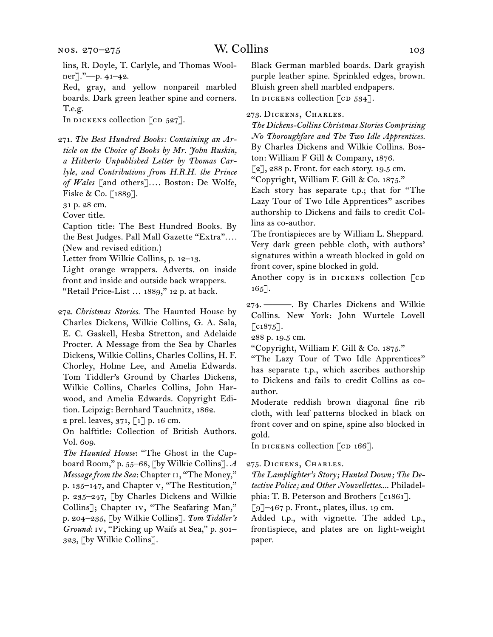lins, R. Doyle, T. Carlyle, and Thomas Woolner]."—p. 41–42.

Red, gray, and yellow nonpareil marbled boards. Dark green leather spine and corners. T.e.g.

In dickens collection  $\lceil$  cd 527].

271.  *The Best Hundred Books: Containing an Article on the Choice of Books by Mr. John Ruskin, a Hitherto Unpublished Letter by Thomas Carlyle, and Contributions from H.R.H. the Prince of Wales* [and others]*. . . .* Boston: De Wolfe, Fiske & Co. [1889].

31 p. 28 cm.

Cover title.

Caption title: The Best Hundred Books. By the Best Judges. Pall Mall Gazette "Extra"*. . . .* (New and revised edition.)

Letter from Wilkie Collins, p. 12–13.

Light orange wrappers. Adverts. on inside front and inside and outside back wrappers. "Retail Price-List … 1889," 12 p. at back.

272.  *Christmas Stories.* The Haunted House by Charles Dickens, Wilkie Collins, G. A. Sala, E. C. Gaskell, Hesba Stretton, and Adelaide Procter. A Message from the Sea by Charles Dickens, Wilkie Collins, Charles Collins, H. F. Chorley, Holme Lee, and Amelia Edwards. Tom Tiddler's Ground by Charles Dickens, Wilkie Collins, Charles Collins, John Harwood, and Amelia Edwards. Copyright Edition. Leipzig: Bernhard Tauchnitz, 1862.

2 prel. leaves, 371, [1] p. 16 cm.

On halftitle: Collection of British Authors. Vol. 609.

*The Haunted House*: "The Ghost in the Cupboard Room," p. 55–68, [by Wilkie Collins]. *A Message from the Sea*: Chapter 11, "The Money," p. 135–147, and Chapter v, "The Restitution," p. 235–247, [by Charles Dickens and Wilkie Collins]; Chapter iv, "The Seafaring Man," p. 204–235, [by Wilkie Collins]. *Tom Tiddler's Ground*: iv, "Picking up Waifs at Sea," p. 301– 323, [by Wilkie Collins].

Black German marbled boards. Dark grayish purple leather spine. Sprinkled edges, brown. Bluish green shell marbled endpapers. In DICKENS collection  $\lceil$  cD 534].

273.  Dickens, Charles.

*The Dickens-Collins Christmas Stories Comprising No Thoroughfare and The Two Idle Apprentices.* By Charles Dickens and Wilkie Collins. Boston: William F Gill & Company, 1876.

 $\lceil 2 \rceil$ , 288 p. Front. for each story. 19.5 cm.

"Copyright, William F. Gill & Co. 1875."

Each story has separate t.p.; that for "The Lazy Tour of Two Idle Apprentices" ascribes authorship to Dickens and fails to credit Collins as co-author.

The frontispieces are by William L. Sheppard. Very dark green pebble cloth, with authors' signatures within a wreath blocked in gold on front cover, spine blocked in gold.

Another copy is in DICKENS collection  $\lceil$  cD 165].

274.  ———. By Charles Dickens and Wilkie Collins. New York: John Wurtele Lovell  $\lbrack \text{c1875}\rbrack.$ 

288 p. 19.5 cm.

"Copyright, William F. Gill & Co. 1875."

"The Lazy Tour of Two Idle Apprentices" has separate t.p., which ascribes authorship to Dickens and fails to credit Collins as coauthor.

Moderate reddish brown diagonal fine rib cloth, with leaf patterns blocked in black on front cover and on spine, spine also blocked in gold.

In DICKENS collection [CD 166].

275.  Dickens, Charles.

*The Lamplighter's Story; Hunted Down; The Detective Police; and Other Nouvellettes*.... Philadelphia: T. B. Peterson and Brothers [c1861].

 $\lceil 9 \rceil$ –467 p. Front., plates, illus. 19 cm.

Added t.p., with vignette. The added t.p., frontispiece, and plates are on light-weight paper.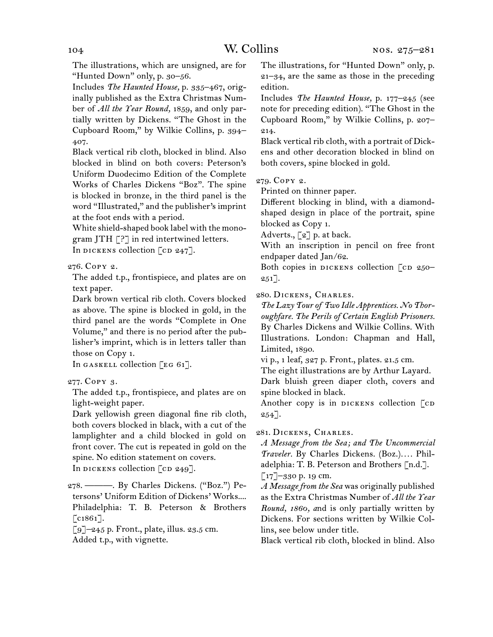The illustrations, which are unsigned, are for "Hunted Down" only, p. 30–56.

Includes *The Haunted House,* p. 335–467, originally published as the Extra Christmas Number of *All the Year Round,* 1859, and only partially written by Dickens. "The Ghost in the Cupboard Room," by Wilkie Collins, p. 394– 407.

Black vertical rib cloth, blocked in blind. Also blocked in blind on both covers: Peterson's Uniform Duodecimo Edition of the Complete Works of Charles Dickens "Boz". The spine is blocked in bronze, in the third panel is the word "Illustrated," and the publisher's imprint at the foot ends with a period.

White shield-shaped book label with the monogram JTH [?] in red intertwined letters. In dickens collection  $\lceil$  cd 247].

276.  Copy 2.

The added t.p., frontispiece, and plates are on text paper.

Dark brown vertical rib cloth. Covers blocked as above. The spine is blocked in gold, in the third panel are the words "Complete in One Volume," and there is no period after the publisher's imprint, which is in letters taller than those on Copy 1.

In GASKELL collection  $\lceil \text{EG } 61 \rceil$ .

277.  Copy 3.

The added t.p., frontispiece, and plates are on light-weight paper.

Dark yellowish green diagonal fine rib cloth, both covers blocked in black, with a cut of the lamplighter and a child blocked in gold on front cover. The cut is repeated in gold on the spine. No edition statement on covers. In DICKENS collection  $[CD 249]$ .

278.  ———. By Charles Dickens. ("Boz.") Petersons' Uniform Edition of Dickens' Works.... Philadelphia: T. B. Peterson & Brothers  $\lceil c1861 \rceil$ .

 $\lceil 9 \rceil$ –245 p. Front., plate, illus. 23.5 cm. Added t.p., with vignette.

The illustrations, for "Hunted Down" only, p. 21–34, are the same as those in the preceding edition.

Includes *The Haunted House,* p. 177–245 (see note for preceding edition). "The Ghost in the Cupboard Room," by Wilkie Collins, p. 207– 214.

Black vertical rib cloth, with a portrait of Dickens and other decoration blocked in blind on both covers, spine blocked in gold.

279.  Copy 2.

Printed on thinner paper.

Different blocking in blind, with a diamondshaped design in place of the portrait, spine blocked as Copy 1.

Adverts.,  $\lbrack 2 \rbrack$  p. at back.

With an inscription in pencil on free front endpaper dated Jan/62.

Both copies in DICKENS collection  $[CD 250 251$ ].

280.  Dickens, Charles.

*The Lazy Tour of Two Idle Apprentices. No Thoroughfare. The Perils of Certain English Prisoners.* By Charles Dickens and Wilkie Collins. With Illustrations. London: Chapman and Hall, Limited, 1890.

vi p., 1 leaf, 327 p. Front., plates. 21.5 cm.

The eight illustrations are by Arthur Layard.

Dark bluish green diaper cloth, covers and spine blocked in black.

Another copy is in DICKENS collection  $\lceil$  CD  $254$ ].

281.  Dickens, Charles.

*A Message from the Sea; and The Uncommercial Traveler.* By Charles Dickens. (Boz.)*. . . .* Philadelphia: T. B. Peterson and Brothers [n.d.].  $\lceil 17 \rceil$ –330 p. 19 cm.

*A Message from the Sea* was originally published as the Extra Christmas Number of *All the Year Round, 1860, a*nd is only partially written by Dickens. For sections written by Wilkie Collins, see below under title.

Black vertical rib cloth, blocked in blind. Also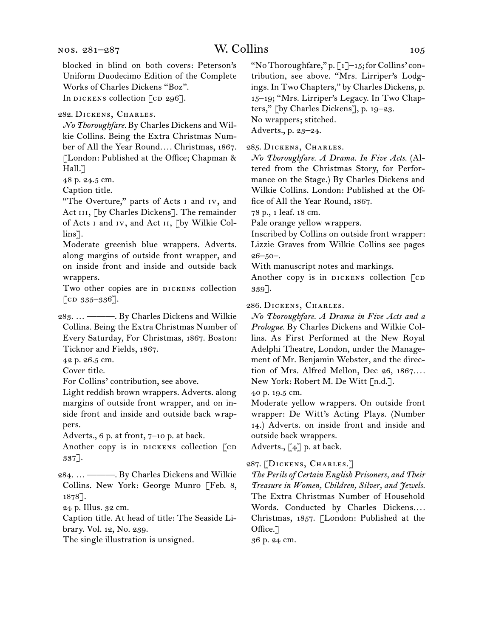282.  Dickens, Charles.

*No Thoroughfare.* By Charles Dickens and Wilkie Collins. Being the Extra Christmas Number of All the Year Round*. . . .* Christmas, 1867. [London: Published at the Office; Chapman & Hall.<sup>7</sup>

48 p. 24.5 cm.

Caption title.

"The Overture," parts of Acts i and iv, and Act III, [by Charles Dickens]. The remainder of Acts i and iv, and Act ii, [by Wilkie Collins<sup>7</sup>.

Moderate greenish blue wrappers. Adverts. along margins of outside front wrapper, and on inside front and inside and outside back wrappers.

Two other copies are in DICKENS collection  $[CD 335 - 336].$ 

283.  … ———. By Charles Dickens and Wilkie Collins. Being the Extra Christmas Number of Every Saturday, For Christmas, 1867. Boston: Ticknor and Fields, 1867.

42 p. 26.5 cm.

Cover title.

For Collins' contribution, see above.

Light reddish brown wrappers. Adverts. along margins of outside front wrapper, and on inside front and inside and outside back wrappers.

Adverts., 6 p. at front, 7–10 p. at back.

Another copy is in DICKENS collection [CD 337].

284.  … ———. By Charles Dickens and Wilkie Collins. New York: George Munro [Feb. 8, 1878].

24 p. Illus. 32 cm.

Caption title. At head of title: The Seaside Library. Vol. 12, No. 239.

The single illustration is unsigned.

"No Thoroughfare," p. [1]-15; for Collins' contribution, see above. "Mrs. Lirriper's Lodgings. In Two Chapters," by Charles Dickens, p. 15–19; "Mrs. Lirriper's Legacy. In Two Chapters," [by Charles Dickens], p. 19–23. No wrappers; stitched.

Adverts., p. 23–24.

285.  Dickens, Charles.

*No Thoroughfare. A Drama. In Five Acts.* (Altered from the Christmas Story, for Performance on the Stage.) By Charles Dickens and Wilkie Collins. London: Published at the Office of All the Year Round, 1867.

78 p., 1 leaf. 18 cm.

Pale orange yellow wrappers.

Inscribed by Collins on outside front wrapper: Lizzie Graves from Wilkie Collins see pages  $26 - 50 -$ 

With manuscript notes and markings.

Another copy is in DICKENS collection [CD 339].

286.  Dickens, Charles.

*No Thoroughfare. A Drama in Five Acts and a Prologue.* By Charles Dickens and Wilkie Collins. As First Performed at the New Royal Adelphi Theatre, London, under the Management of Mr. Benjamin Webster, and the direction of Mrs. Alfred Mellon, Dec 26, 1867*. . . .* New York: Robert M. De Witt [n.d.].

40 p. 19.5 cm.

Moderate yellow wrappers. On outside front wrapper: De Witt's Acting Plays. (Number 14.) Adverts. on inside front and inside and outside back wrappers.

Adverts., [4] p. at back.

287.  [Dickens, Charles.]

*The Perils of Certain English Prisoners, and Their Treasure in Women, Children, Silver, and Jewels.* The Extra Christmas Number of Household Words. Conducted by Charles Dickens.... Christmas, 1857. [London: Published at the Office.]

36 p. 24 cm.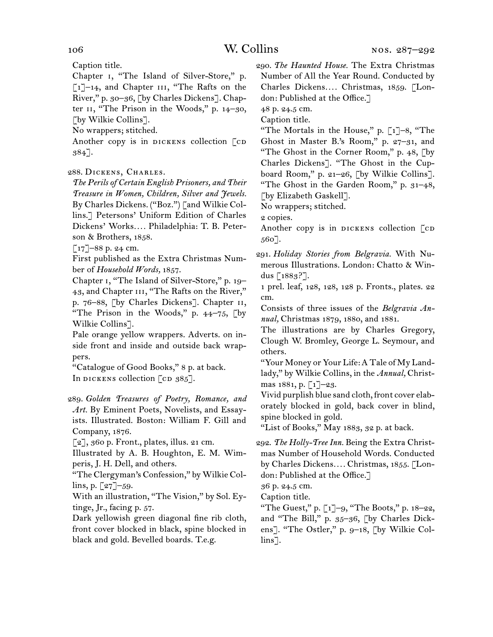Caption title.

Chapter i, "The Island of Silver-Store," p. [1]-14, and Chapter III, "The Rafts on the River," p. 30–36, [by Charles Dickens]. Chapter ii, "The Prison in the Woods," p. 14–30, [by Wilkie Collins].

No wrappers; stitched.

Another copy is in DICKENS collection  $\lceil$  CD 384].

# 288.  Dickens, Charles.

*The Perils of Certain English Prisoners, and Their Treasure in Women, Children, Silver and Jewels.* By Charles Dickens. ("Boz.") [and Wilkie Collins.] Petersons' Uniform Edition of Charles Dickens' Works*. . . .* Philadelphia: T. B. Peterson & Brothers, 1858.

 $[17]$ –88 p. 24 cm.

First published as the Extra Christmas Number of *Household Words,* 1857.

Chapter i, "The Island of Silver-Store," p. 19– 43, and Chapter III, "The Rafts on the River," p. 76–88, [by Charles Dickens]. Chapter ii, "The Prison in the Woods," p. 44–75, [by Wilkie Collins].

Pale orange yellow wrappers. Adverts. on inside front and inside and outside back wrappers.

"Catalogue of Good Books," 8 p. at back. In dickens collection  $[CD 385]$ .

289.  *Golden Treasures of Poetry, Romance, and Art.* By Eminent Poets, Novelists, and Essayists. Illustrated. Boston: William F. Gill and Company, 1876.

[2], 360 p. Front., plates, illus. 21 cm.

Illustrated by A. B. Houghton, E. M. Wimperis, J. H. Dell, and others.

"The Clergyman's Confession," by Wilkie Collins, p.  $[27]$ –59.

With an illustration, "The Vision," by Sol. Eytinge, Jr., facing p. 57.

Dark yellowish green diagonal fine rib cloth, front cover blocked in black, spine blocked in black and gold. Bevelled boards. T.e.g.

290.  *The Haunted House.* The Extra Christmas Number of All the Year Round. Conducted by Charles Dickens*. . . .* Christmas, 1859. [London: Published at the Office.]

48 p. 24.5 cm.

Caption title.

"The Mortals in the House," p.  $\lceil 1 \rceil - 8$ , "The Ghost in Master B.'s Room," p. 27–31, and "The Ghost in the Corner Room," p. 48, [by Charles Dickens]. "The Ghost in the Cupboard Room," p. 21–26, [by Wilkie Collins]. "The Ghost in the Garden Room," p. 31–48, [by Elizabeth Gaskell].

No wrappers; stitched.

2 copies.

Another copy is in DICKENS collection  $\lceil$  CD 560].

291.  *Holiday Stories from Belgravia.* With Numerous Illustrations. London: Chatto & Windus [1883?].

1 prel. leaf, 128, 128, 128 p. Fronts., plates. 22 cm.

Consists of three issues of the *Belgravia Annual,* Christmas 1879, 1880, and 1881.

The illustrations are by Charles Gregory, Clough W. Bromley, George L. Seymour, and others.

"Your Money or Your Life:A Tale of My Landlady," by Wilkie Collins, in the *Annual,* Christmas 1881, p. [1]–23.

Vivid purplish blue sand cloth, front cover elaborately blocked in gold, back cover in blind, spine blocked in gold.

"List of Books," May 1883, 32 p. at back.

292.  *The Holly-Tree Inn.* Being the Extra Christmas Number of Household Words. Conducted by Charles Dickens*. . . .* Christmas, 1855. [London: Published at the Office.]

36 p. 24.5 cm.

Caption title.

"The Guest," p.  $\lceil 1 \rceil$ -9, "The Boots," p. 18–22, and "The Bill," p. 35–36, [by Charles Dickens]. "The Ostler," p. 9–18, [by Wilkie Collins].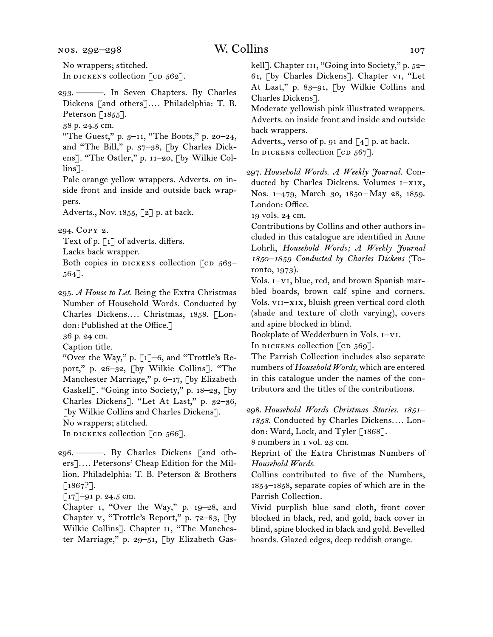nos. 292–298

No wrappers; stitched. In DICKENS collection  $\lceil$  cD 562].

- 293.  ———. In Seven Chapters. By Charles Dickens [and others]*. . . .* Philadelphia: T. B. Peterson [1855].
- 38 p. 24.5 cm.
- "The Guest," p. 3–11, "The Boots," p. 20–24, and "The Bill," p. 37–38, [by Charles Dickens]. "The Ostler," p. 11–20, [by Wilkie Collins<sup>7</sup>.
- Pale orange yellow wrappers. Adverts. on inside front and inside and outside back wrappers.

Adverts., Nov. 1855, [2] p. at back.

294.  Copy 2.

Text of p. [1] of adverts. differs.

- Lacks back wrapper.
- Both copies in DICKENS collection  $\lceil$  cD 563– 564].
- 295.  *A House to Let.* Being the Extra Christmas Number of Household Words. Conducted by Charles Dickens*. . . .* Christmas, 1858. [London: Published at the Office.]

36 p. 24 cm.

Caption title.

"Over the Way," p. [1]–6, and "Trottle's Report," p. 26–32, [by Wilkie Collins]. "The Manchester Marriage," p. 6–17, [by Elizabeth Gaskell]. "Going into Society," p. 18–23, [by Charles Dickens]. "Let At Last," p. 32–36, [by Wilkie Collins and Charles Dickens]. No wrappers; stitched.

In dickens collection  $[CD 566]$ .

- 296.  ———. By Charles Dickens [and others]*. . . .* Petersons' Cheap Edition for the Million. Philadelphia: T. B. Peterson & Brothers  $[1867?].$
- [17]–91 p. 24.5 cm.

Chapter i, "Over the Way," p. 19–28, and Chapter v, "Trottle's Report," p. 72–83, [by Wilkie Collins]. Chapter 11, "The Manchester Marriage," p. 29–51, [by Elizabeth Gaskell]. Chapter III, "Going into Society," p. 52-61, [by Charles Dickens]. Chapter vi, "Let At Last," p. 83–91, [by Wilkie Collins and Charles Dickens].

Moderate yellowish pink illustrated wrappers. Adverts. on inside front and inside and outside back wrappers.

Adverts., verso of p. 91 and [4] p. at back. In dickens collection  $\lceil$  cd 567].

297.  *Household Words. A Weekly Journal.* Conducted by Charles Dickens. Volumes i–xix, Nos. 1-479, March 30, 1850-May 28, 1859. London: Office.

19 vols. 24 cm.

Contributions by Collins and other authors included in this catalogue are identified in Anne Lohrli, *Household Words; A Weekly Journal 1850–1859 Conducted by Charles Dickens* (Toronto, 1973).

Vols. i–vi, blue, red, and brown Spanish marbled boards, brown calf spine and corners. Vols. vii–xix, bluish green vertical cord cloth (shade and texture of cloth varying), covers and spine blocked in blind.

Bookplate of Wedderburn in Vols. i–vi.

In DICKENS collection  $[CD 569]$ .

The Parrish Collection includes also separate numbers of *Household Words,* which are entered in this catalogue under the names of the contributors and the titles of the contributions.

298.  *Household Words Christmas Stories. 1851– 1858.* Conducted by Charles Dickens*. . . .* London: Ward, Lock, and Tyler [1868].

8 numbers in 1 vol. 23 cm.

Reprint of the Extra Christmas Numbers of *Household Words.*

Collins contributed to five of the Numbers, 1854–1858, separate copies of which are in the Parrish Collection.

Vivid purplish blue sand cloth, front cover blocked in black, red, and gold, back cover in blind, spine blocked in black and gold. Bevelled boards. Glazed edges, deep reddish orange.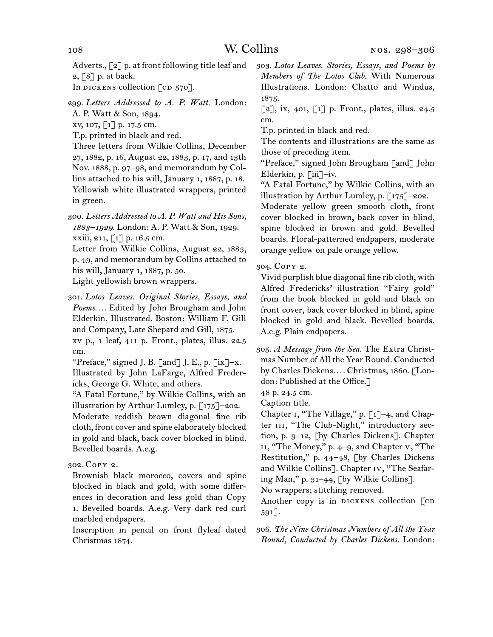Adverts., [2] p. at front following title leaf and 2, [8] p. at back.

In dickens collection  $\lceil$  cd 570].

299.  *Letters Addressed to A. P. Watt.* London: A. P. Watt & Son, 1894.

xv, 107, [1] p. 17.5 cm.

T.p. printed in black and red.

Three letters from Wilkie Collins, December 27, 1882, p. 16, August 22, 1883, p. 17, and 13th Nov. 1888, p. 97–98, and memorandum by Collins attached to his will, January 1, 1887, p. 18. Yellowish white illustrated wrappers, printed in green.

300.  *Letters Addressed to A. P. Watt and His Sons, 1883–1929.* London: A. P. Watt & Son, 1929. xxiii, 211, [1] p. 16.5 cm.

Letter from Wilkie Collins, August 22, 1883, p. 49, and memorandum by Collins attached to his will, January 1, 1887, p. 50. Light yellowish brown wrappers.

301.  *Lotos Leaves. Original Stories, Essays, and Poems. . . .* Edited by John Brougham and John Elderkin. Illustrated. Boston: William F. Gill and Company, Late Shepard and Gill, 1875. xv p., 1 leaf, 411 p. Front., plates, illus. 22.5 cm.

"Preface," signed J. B.  $\lceil$  and  $\rceil$  J. E., p.  $\lceil$  ix  $\rceil$ -x. Illustrated by John LaFarge, Alfred Fredericks, George G. White, and others.

"A Fatal Fortune," by Wilkie Collins, with an illustration by Arthur Lumley, p. [175]–202.

Moderate reddish brown diagonal fine rib cloth, front cover and spine elaborately blocked in gold and black, back cover blocked in blind. Bevelled boards. A.e.g.

302.  Copy 2.

Brownish black morocco, covers and spine blocked in black and gold, with some differences in decoration and less gold than Copy 1. Bevelled boards. A.e.g. Very dark red curl marbled endpapers.

Inscription in pencil on front flyleaf dated Christmas 1874.

303.  *Lotos Leaves. Stories, Essays, and Poems by Members of The Lotos Club.* With Numerous Illustrations. London: Chatto and Windus, 1875.

 $[2]$ , ix, 401,  $[1]$  p. Front., plates, illus. 24.5 cm.

T.p. printed in black and red.

The contents and illustrations are the same as those of preceding item.

"Preface," signed John Brougham [and] John Elderkin, p. [iii]–iv.

"A Fatal Fortune," by Wilkie Collins, with an illustration by Arthur Lumley, p.  $\lceil 175 \rceil$ -202.

Moderate yellow green smooth cloth, front cover blocked in brown, back cover in blind, spine blocked in brown and gold. Bevelled boards. Floral-patterned endpapers, moderate orange yellow on pale orange yellow.

304.  Copy 2.

Vivid purplish blue diagonal fine rib cloth, with Alfred Fredericks' illustration "Fairy gold" from the book blocked in gold and black on front cover, back cover blocked in blind, spine blocked in gold and black. Bevelled boards. A.e.g. Plain endpapers.

305.  *A Message from the Sea.* The Extra Christmas Number of All the Year Round. Conducted by Charles Dickens*. . . .* Christmas, 1860. [London: Published at the Office.]

48 p. 24.5 cm.

Caption title.

Chapter i, "The Village," p. [1]–4, and Chapter III, "The Club-Night," introductory section, p. 9–12, [by Charles Dickens]. Chapter ii, "The Money," p. 4–9, and Chapter v, "The Restitution," p. 44–48, [by Charles Dickens and Wilkie Collins]. Chapter iv, "The Seafaring Man," p. 31–44, [by Wilkie Collins].

No wrappers; stitching removed.

Another copy is in DICKENS collection  $\lceil$ CD 591].

306.  *The Nine Christmas Numbers of All the Year Round, Conducted by Charles Dickens.* London: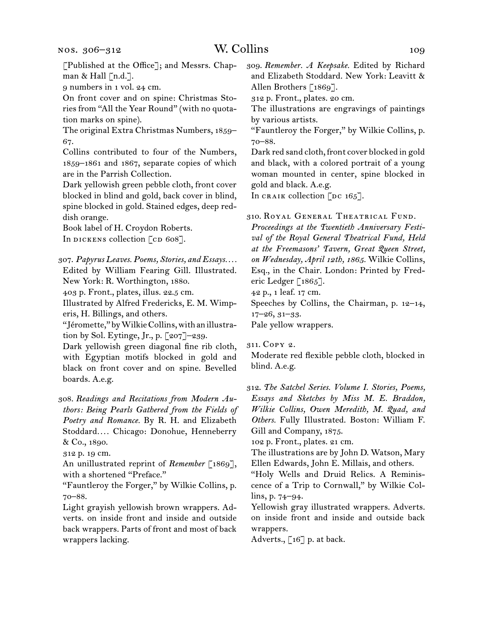# W. Collins 109

[Published at the Office]; and Messrs. Chapman & Hall  $\lceil n.d.\rceil$ .

9 numbers in 1 vol. 24 cm.

On front cover and on spine: Christmas Stories from "All the Year Round" (with no quotation marks on spine).

The original Extra Christmas Numbers, 1859– 67.

Collins contributed to four of the Numbers, 1859–1861 and 1867, separate copies of which are in the Parrish Collection.

Dark yellowish green pebble cloth, front cover blocked in blind and gold, back cover in blind, spine blocked in gold. Stained edges, deep reddish orange.

Book label of H. Croydon Roberts. In DICKENS collection  $\lceil$  cD 608].

307.  *Papyrus Leaves. Poems, Stories, and Essays. . . .*

Edited by William Fearing Gill. Illustrated. New York: R. Worthington, 1880.

403 p. Front., plates, illus. 22.5 cm.

Illustrated by Alfred Fredericks, E. M. Wimperis, H. Billings, and others.

"Jéromette,"byWilkieCollins,withanillustration by Sol. Eytinge, Jr., p. [207]–239.

Dark yellowish green diagonal fine rib cloth, with Egyptian motifs blocked in gold and black on front cover and on spine. Bevelled boards. A.e.g.

308.  *Readings and Recitations from Modern Authors: Being Pearls Gathered from the Fields of Poetry and Romance.* By R. H. and Elizabeth Stoddard*. . . .* Chicago: Donohue, Henneberry & Co., 1890.

312 p. 19 cm.

An unillustrated reprint of *Remember* [1869], with a shortened "Preface."

"Fauntleroy the Forger," by Wilkie Collins, p. 70–88.

Light grayish yellowish brown wrappers. Adverts. on inside front and inside and outside back wrappers. Parts of front and most of back wrappers lacking.

309.  *Remember. A Keepsake.* Edited by Richard and Elizabeth Stoddard. New York: Leavitt & Allen Brothers [1869].

312 p. Front., plates. 20 cm.

The illustrations are engravings of paintings by various artists.

"Fauntleroy the Forger," by Wilkie Collins, p. 70–88.

Dark red sand cloth, front cover blocked in gold and black, with a colored portrait of a young woman mounted in center, spine blocked in gold and black. A.e.g.

In CRAIK collection [DC  $165$ ].

310.  Royal General Theatrical Fund.

*Proceedings at the Twentieth Anniversary Festival of the Royal General Theatrical Fund, Held at the Freemasons' Tavern, Great Queen Street, on Wednesday, April 12th, 1865.* Wilkie Collins, Esq., in the Chair. London: Printed by Frederic Ledger [1865].

42 p., 1 leaf. 17 cm.

Speeches by Collins, the Chairman, p. 12–14, 17–26, 31–33.

Pale yellow wrappers.

311.  Copy 2.

Moderate red flexible pebble cloth, blocked in blind. A.e.g.

312.  *The Satchel Series. Volume I. Stories, Poems, Essays and Sketches by Miss M. E. Braddon, Wilkie Collins, Owen Meredith, M. Quad, and Others.* Fully Illustrated. Boston: William F. Gill and Company, 1875.

102 p. Front., plates. 21 cm.

The illustrations are by John D. Watson, Mary Ellen Edwards, John E. Millais, and others.

"Holy Wells and Druid Relics. A Reminiscence of a Trip to Cornwall," by Wilkie Collins, p. 74–94.

Yellowish gray illustrated wrappers. Adverts. on inside front and inside and outside back wrappers.

Adverts., [16] p. at back.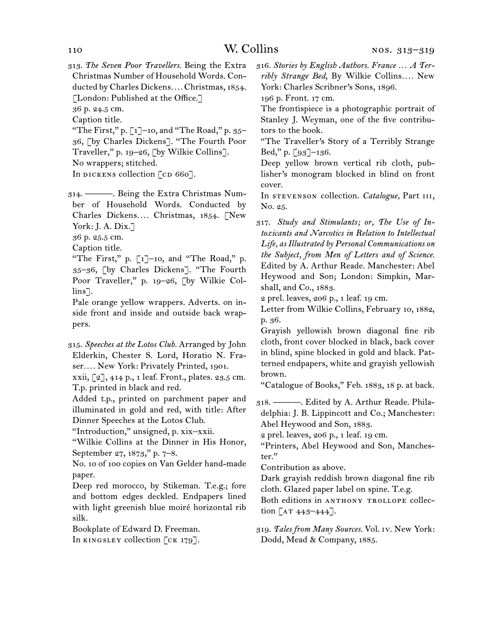313.  *The Seven Poor Travellers.* Being the Extra Christmas Number of Household Words. Conducted by Charles Dickens*. . . .* Christmas, 1854. [London: Published at the Office.]

36 p. 24.5 cm.

Caption title.

"The First," p.  $\lceil 1 \rceil$ –10, and "The Road," p. 35– 36, [by Charles Dickens]. "The Fourth Poor Traveller," p. 19–26, [by Wilkie Collins].

No wrappers; stitched.

In DICKENS collection [CD 660].

314.  ———. Being the Extra Christmas Number of Household Words. Conducted by Charles Dickens*. . . .* Christmas, 1854. [New York: J. A. Dix.]

36 p. 25.5 cm.

Caption title.

"The First," p. [1]–10, and "The Road," p. 35–36, [by Charles Dickens]. "The Fourth Poor Traveller," p. 19–26, [by Wilkie Collins].

Pale orange yellow wrappers. Adverts. on inside front and inside and outside back wrappers.

315.  *Speeches at the Lotos Club.* Arranged by John Elderkin, Chester S. Lord, Horatio N. Fraser*. . . .* New York: Privately Printed, 1901.

xxii, [2], 414 p., 1 leaf. Front., plates. 23.5 cm. T.p. printed in black and red.

Added t.p., printed on parchment paper and illuminated in gold and red, with title: After Dinner Speeches at the Lotos Club.

"Introduction," unsigned, p. xix–xxii.

"Wilkie Collins at the Dinner in His Honor, September 27, 1873," p. 7–8.

No. 10 of 100 copies on Van Gelder hand-made paper.

Deep red morocco, by Stikeman. T.e.g.; fore and bottom edges deckled. Endpapers lined with light greenish blue moiré horizontal rib silk.

Bookplate of Edward D. Freeman. In KINGSLEY collection [CK 179].

316.  *Stories by English Authors. France … A Terribly Strange Bed*, By Wilkie Collins*. . . .* New York: Charles Scribner's Sons, 1896.

196 p. Front. 17 cm.

The frontispiece is a photographic portrait of Stanley J. Weyman, one of the five contributors to the book.

"The Traveller's Story of a Terribly Strange Bed," p.  $\lceil 93 \rceil$ –136.

Deep yellow brown vertical rib cloth, publisher's monogram blocked in blind on front cover.

In stevenson collection. *Catalogue,* Part iii, No. 25.

317.   *Study and Stimulants; or, The Use of Intoxicants and Narcotics in Relation to Intellectual Life, as Illustrated by Personal Communications on the Subject, from Men of Letters and of Science.* Edited by A. Arthur Reade. Manchester: Abel Heywood and Son; London: Simpkin, Marshall, and Co., 1883.

2 prel. leaves, 206 p., 1 leaf. 19 cm.

Letter from Wilkie Collins, February 10, 1882, p. 36.

Grayish yellowish brown diagonal fine rib cloth, front cover blocked in black, back cover in blind, spine blocked in gold and black. Patterned endpapers, white and grayish yellowish brown.

"Catalogue of Books," Feb. 1883, 18 p. at back.

318.  ———. Edited by A. Arthur Reade. Philadelphia: J. B. Lippincott and Co.; Manchester: Abel Heywood and Son, 1883.

2 prel. leaves, 206 p., 1 leaf. 19 cm.

"Printers, Abel Heywood and Son, Manchester."

Contribution as above.

Dark grayish reddish brown diagonal fine rib cloth. Glazed paper label on spine. T.e.g.

Both editions in ANTHONY TROLLOPE collection  $[AT 443 - 444].$ 

319.  *Tales from Many Sources.* Vol. iv. New York: Dodd, Mead & Company, 1885.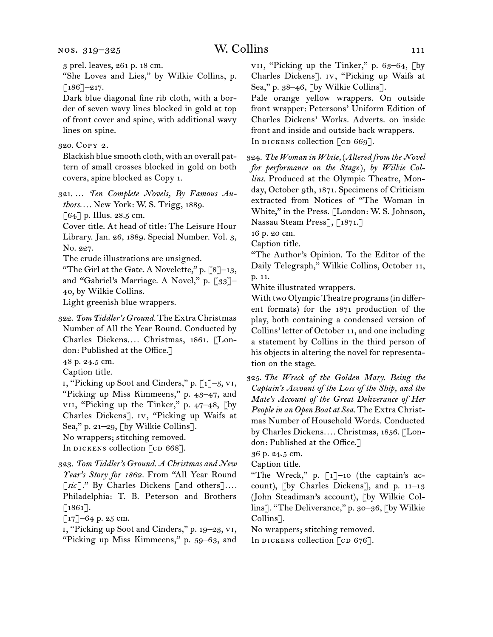3 prel. leaves, 261 p. 18 cm.

"She Loves and Lies," by Wilkie Collins, p.  $[186]$ –217.

Dark blue diagonal fine rib cloth, with a border of seven wavy lines blocked in gold at top of front cover and spine, with additional wavy lines on spine.

# 320.  Copy 2.

Blackish blue smooth cloth, with an overall pattern of small crosses blocked in gold on both covers, spine blocked as Copy 1.

321.  … *Ten Complete Novels, By Famous Authors. . . .* New York: W. S. Trigg, 1889.

 $[64]$  p. Illus. 28.5 cm.

Cover title. At head of title: The Leisure Hour Library. Jan. 26, 1889. Special Number. Vol. 3, No. 227.

The crude illustrations are unsigned.

"The Girl at the Gate. A Novelette," p.  $\lbrack 8 \rbrack - 13$ , and "Gabriel's Marriage. A Novel," p. [33]-40, by Wilkie Collins.

Light greenish blue wrappers.

322.  *Tom Tiddler's Ground.* The Extra Christmas Number of All the Year Round. Conducted by Charles Dickens*. . . .* Christmas, 1861. [London: Published at the Office.]

48 p. 24.5 cm.

Caption title.

i, "Picking up Soot and Cinders," p. [1]–5, vi, "Picking up Miss Kimmeens," p. 43–47, and vii, "Picking up the Tinker," p. 47–48, [by Charles Dickens]. iv, "Picking up Waifs at Sea," p. 21–29, [by Wilkie Collins].

No wrappers; stitching removed.

In DICKENS collection [CD 668].

323.  *Tom Tiddler's Ground. A Christmas and New Year's Story for 1862.* From "All Year Round [*sic* ]." By Charles Dickens [and others]*. . . .* Philadelphia: T. B. Peterson and Brothers [1861].

 $\lbrack 17 \rbrack - 64$  p. 25 cm.

i, "Picking up Soot and Cinders," p. 19–23, vi, "Picking up Miss Kimmeens," p. 59–63, and

vii, "Picking up the Tinker," p. 63–64, [by Charles Dickens]. iv, "Picking up Waifs at Sea," p. 38–46, [by Wilkie Collins].

Pale orange yellow wrappers. On outside front wrapper: Petersons' Uniform Edition of Charles Dickens' Works. Adverts. on inside front and inside and outside back wrappers. In DICKENS collection [CD 669].

324.  *The Woman in White,* (*Altered from the Novel for performance on the Stage*)*, by Wilkie Collins.* Produced at the Olympic Theatre, Monday, October 9th, 1871. Specimens of Criticism extracted from Notices of "The Woman in White," in the Press. [London: W. S. Johnson, Nassau Steam Press], [1871.]

16 p. 20 cm.

Caption title.

"The Author's Opinion. To the Editor of the Daily Telegraph," Wilkie Collins, October 11, p. 11.

White illustrated wrappers.

With two Olympic Theatre programs(in different formats) for the 1871 production of the play, both containing a condensed version of Collins' letter of October 11, and one including a statement by Collins in the third person of his objects in altering the novel for representation on the stage.

325.  *The Wreck of the Golden Mary. Being the Captain's Account of the Loss of the Ship, and the Mate's Account of the Great Deliverance of Her People in an Open Boat at Sea.* The Extra Christmas Number of Household Words. Conducted by Charles Dickens*. . . .* Christmas, 1856. [London: Published at the Office.]

36 p. 24.5 cm.

Caption title.

"The Wreck," p. [1]–10 (the captain's account), [by Charles Dickens], and p. 11–13 (John Steadiman's account), [by Wilkie Collins]. "The Deliverance," p. 30–36, [by Wilkie Collins].

No wrappers; stitching removed.

In dickens collection  $\lceil$  cd 676].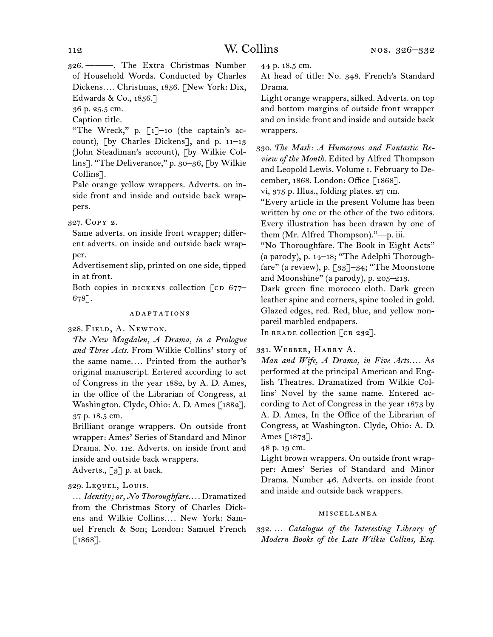326.  ———. The Extra Christmas Number of Household Words. Conducted by Charles Dickens*. . . .* Christmas, 1856. [New York: Dix, Edwards & Co., 1856.]

36 p. 25.5 cm.

Caption title.

"The Wreck," p. [1]–10 (the captain's account), [by Charles Dickens], and p. 11–13 (John Steadiman's account), [by Wilkie Collins]. "The Deliverance," p. 30–36, [by Wilkie Collins].

Pale orange yellow wrappers. Adverts. on inside front and inside and outside back wrappers.

327.  Copy 2.

Same adverts. on inside front wrapper; different adverts. on inside and outside back wrapper.

Advertisement slip, printed on one side, tipped in at front.

Both copies in DICKENS collection  $[CD 677-$ 678].

### adaptations

328.  Field, A. Newton.

*The New Magdalen, A Drama, in a Prologue and Three Acts.* From Wilkie Collins' story of the same name*. . . .* Printed from the author's original manuscript. Entered according to act of Congress in the year 1882, by A. D. Ames, in the office of the Librarian of Congress, at Washington. Clyde, Ohio: A. D. Ames [1882]. 37 p. 18.5 cm.

Brilliant orange wrappers. On outside front wrapper: Ames' Series of Standard and Minor Drama. No. 112. Adverts. on inside front and inside and outside back wrappers.

Adverts.,  $\lceil 3 \rceil$  p. at back.

# 329.  Lequel, Louis.

… *Identity; or, No Thoroughfare. . . .* Dramatized from the Christmas Story of Charles Dickens and Wilkie Collins*. . . .* New York: Samuel French & Son; London: Samuel French [1868].

44 p. 18.5 cm.

At head of title: No. 348. French's Standard Drama.

Light orange wrappers, silked. Adverts. on top and bottom margins of outside front wrapper and on inside front and inside and outside back wrappers.

330.  *The Mask: A Humorous and Fantastic Review of the Month.* Edited by Alfred Thompson and Leopold Lewis. Volume i. February to December, 1868. London: Office [1868].

vi, 375 p. Illus., folding plates. 27 cm.

"Every article in the present Volume has been written by one or the other of the two editors. Every illustration has been drawn by one of them (Mr. Alfred Thompson)."—p. iii.

"No Thoroughfare. The Book in Eight Acts" (a parody), p. 14–18; "The Adelphi Thoroughfare" (a review), p. [33]-34; "The Moonstone and Moonshine" (a parody), p. 205–213.

Dark green fine morocco cloth. Dark green leather spine and corners, spine tooled in gold. Glazed edges, red. Red, blue, and yellow nonpareil marbled endpapers.

In READE collection [CR 232].

# 331.  Webber, Harry A.

*Man and Wife, A Drama, in Five Acts. . . .* As performed at the principal American and English Theatres. Dramatized from Wilkie Collins' Novel by the same name. Entered according to Act of Congress in the year 1873 by A. D. Ames, In the Office of the Librarian of Congress, at Washington. Clyde, Ohio: A. D. Ames [1873].

48 p. 19 cm.

Light brown wrappers. On outside front wrapper: Ames' Series of Standard and Minor Drama. Number 46. Adverts. on inside front and inside and outside back wrappers.

### miscellanea

332.  … *Catalogue of the Interesting Library of Modern Books of the Late Wilkie Collins, Esq.*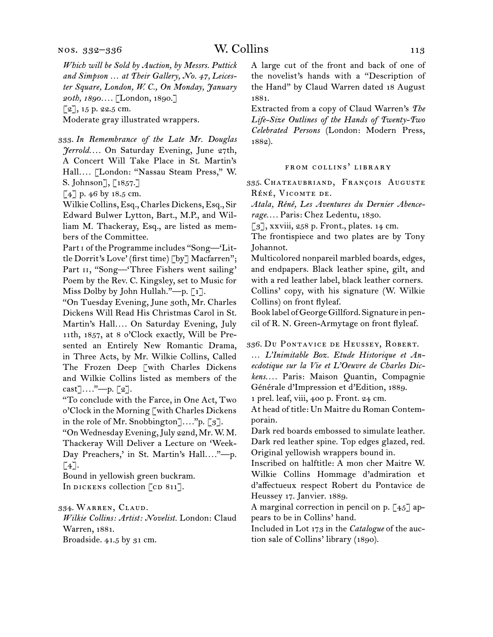*Which will be Sold by Auction, by Messrs. Puttick and Simpson … at Their Gallery, No. 47, Leicester Square, London, W. C., On Monday, January 20th, 1890. . . .* [London, 1890.]  $[2]$ , 15 p. 22.5 cm.

Moderate gray illustrated wrappers.

333.  *In Remembrance of the Late Mr. Douglas Jerrold. . . .* On Saturday Evening, June 27th, A Concert Will Take Place in St. Martin's Hall*. . . .* [London: "Nassau Steam Press," W. S. Johnson], [1857.]

[4] p. 46 by 18.5 cm.

Wilkie Collins, Esq., Charles Dickens, Esq., Sir Edward Bulwer Lytton, Bart., M.P., and William M. Thackeray, Esq., are listed as members of the Committee.

Part i of the Programme includes "Song—'Little Dorrit's Love' (first time) [by] Macfarren"; Part II, "Song-'Three Fishers went sailing' Poem by the Rev. C. Kingsley, set to Music for Miss Dolby by John Hullah."—p. [1].

"On Tuesday Evening, June 30th, Mr. Charles Dickens Will Read His Christmas Carol in St. Martin's Hall*. . . .* On Saturday Evening, July 11th, 1857, at 8 o'Clock exactly, Will be Presented an Entirely New Romantic Drama, in Three Acts, by Mr. Wilkie Collins, Called The Frozen Deep [with Charles Dickens and Wilkie Collins listed as members of the cast]*. . . .*"—p. [2].

"To conclude with the Farce, in One Act, Two o'Clock in the Morning [with Charles Dickens in the role of Mr. Snobbington]*. . . .*"p. [3].

"OnWednesdayEvening,July 22nd, Mr.W. M. Thackeray Will Deliver a Lecture on 'Week-Day Preachers,' in St. Martin's Hall...."--- p.  $\lceil 4 \rceil$ .

Bound in yellowish green buckram. In DICKENS collection  $[CD 811]$ .

334.  Warren, Claud.

*Wilkie Collins: Artist: Novelist.* London: Claud Warren, 1881. Broadside. 41.5 by 31 cm.

A large cut of the front and back of one of the novelist's hands with a "Description of the Hand" by Claud Warren dated 18 August 1881.

Extracted from a copy of Claud Warren's *The Life-Size Outlines of the Hands of Twenty-Two Celebrated Persons* (London: Modern Press, 1882).

### from collins' library

335.  Chateaubriand, François Auguste RÉNÉ, VICOMTE DE.

*Atala, Réné, Les Aventures du Dernier Abencerage. . . .* Paris: Chez Ledentu, 1830.

 $\lceil 3 \rceil$ , xxviii, 258 p. Front., plates. 14 cm.

The frontispiece and two plates are by Tony Johannot.

Multicolored nonpareil marbled boards, edges, and endpapers. Black leather spine, gilt, and with a red leather label, black leather corners. Collins' copy, with his signature (W. Wilkie Collins) on front flyleaf.

Book label ofGeorgeGillford. Signature in pencil of R. N. Green-Armytage on front flyleaf.

336.  Du Pontavice de Heussey, Robert.

… *L'Inimitable Boz. Etude Historique et Anecdotique sur la Vie et L'Oeuvre de Charles Dickens. . . .* Paris: Maison Quantin, Compagnie Générale d'Impression et d'Edition, 1889.

1 prel. leaf, viii, 400 p. Front. 24 cm.

At head of title: Un Maitre du Roman Contemporain.

Dark red boards embossed to simulate leather. Dark red leather spine. Top edges glazed, red. Original yellowish wrappers bound in.

Inscribed on halftitle: A mon cher Maitre W. Wilkie Collins Hommage d'admiration et d'affectueux respect Robert du Pontavice de Heussey 17. Janvier. 1889.

A marginal correction in pencil on p. [45] appears to be in Collins' hand.

Included in Lot 173 in the *Catalogue* of the auction sale of Collins' library (1890).